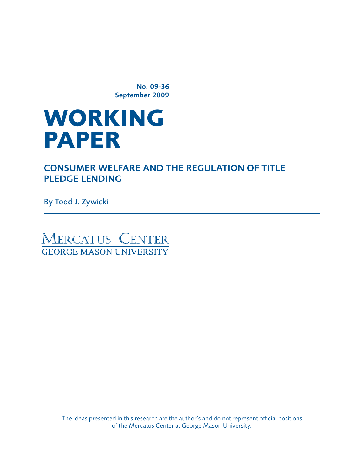No. 09-36 September 2009

# **WORKING paper**

Consumer Welfare and the Regulation of Title PLEDGE LENDING

By Todd J. Zywicki

MERCATUS CENTER **GEORGE MASON UNIVERSITY** 

> The ideas presented in this research are the author's and do not represent official positions of the Mercatus Center at George Mason University.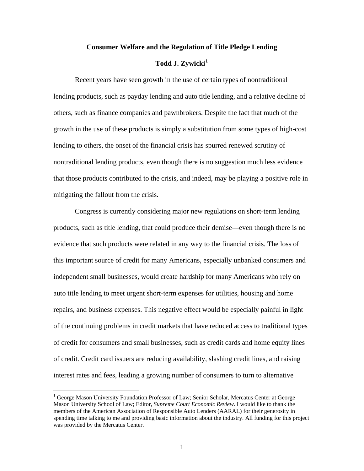#### **Consumer Welfare and the Regulation of Title Pledge Lending**

# **Todd J. Zywicki[1](#page-1-0)**

Recent years have seen growth in the use of certain types of nontraditional lending products, such as payday lending and auto title lending, and a relative decline of others, such as finance companies and pawnbrokers. Despite the fact that much of the growth in the use of these products is simply a substitution from some types of high-cost lending to others, the onset of the financial crisis has spurred renewed scrutiny of nontraditional lending products, even though there is no suggestion much less evidence that those products contributed to the crisis, and indeed, may be playing a positive role in mitigating the fallout from the crisis.

Congress is currently considering major new regulations on short-term lending products, such as title lending, that could produce their demise—even though there is no evidence that such products were related in any way to the financial crisis. The loss of this important source of credit for many Americans, especially unbanked consumers and independent small businesses, would create hardship for many Americans who rely on auto title lending to meet urgent short-term expenses for utilities, housing and home repairs, and business expenses. This negative effect would be especially painful in light of the continuing problems in credit markets that have reduced access to traditional types of credit for consumers and small businesses, such as credit cards and home equity lines of credit. Credit card issuers are reducing availability, slashing credit lines, and raising interest rates and fees, leading a growing number of consumers to turn to alternative

<span id="page-1-0"></span><sup>&</sup>lt;sup>1</sup> George Mason University Foundation Professor of Law; Senior Scholar, Mercatus Center at George Mason University School of Law; Editor, *Supreme Court Economic Review*. I would like to thank the members of the American Association of Responsible Auto Lenders (AARAL) for their generosity in spending time talking to me and providing basic information about the industry. All funding for this project was provided by the Mercatus Center.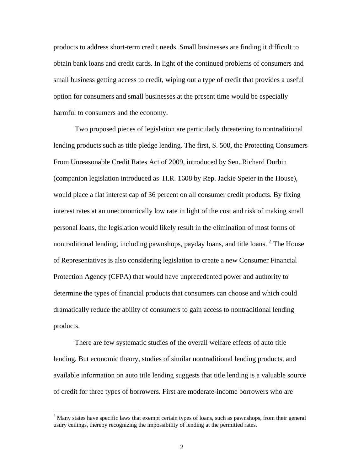products to address short-term credit needs. Small businesses are finding it difficult to obtain bank loans and credit cards. In light of the continued problems of consumers and small business getting access to credit, wiping out a type of credit that provides a useful option for consumers and small businesses at the present time would be especially harmful to consumers and the economy.

Two proposed pieces of legislation are particularly threatening to nontraditional lending products such as title pledge lending. The first, S. 500, the Protecting Consumers From Unreasonable Credit Rates Act of 2009, introduced by Sen. Richard Durbin (companion legislation introduced as H.R. 1608 by Rep. Jackie Speier in the House), would place a flat interest cap of 36 percent on all consumer credit products. By fixing interest rates at an uneconomically low rate in light of the cost and risk of making small personal loans, the legislation would likely result in the elimination of most forms of nontraditional lending, including pawnshops, payday loans, and title loans.  $2$  The House of Representatives is also considering legislation to create a new Consumer Financial Protection Agency (CFPA) that would have unprecedented power and authority to determine the types of financial products that consumers can choose and which could dramatically reduce the ability of consumers to gain access to nontraditional lending products.

There are few systematic studies of the overall welfare effects of auto title lending. But economic theory, studies of similar nontraditional lending products, and available information on auto title lending suggests that title lending is a valuable source of credit for three types of borrowers. First are moderate-income borrowers who are

<span id="page-2-0"></span> $2$  Many states have specific laws that exempt certain types of loans, such as pawnshops, from their general usury ceilings, thereby recognizing the impossibility of lending at the permitted rates.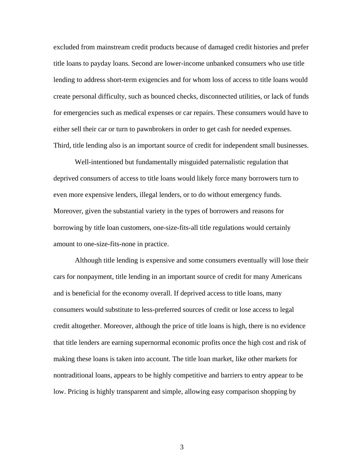excluded from mainstream credit products because of damaged credit histories and prefer title loans to payday loans. Second are lower-income unbanked consumers who use title lending to address short-term exigencies and for whom loss of access to title loans would create personal difficulty, such as bounced checks, disconnected utilities, or lack of funds for emergencies such as medical expenses or car repairs. These consumers would have to either sell their car or turn to pawnbrokers in order to get cash for needed expenses. Third, title lending also is an important source of credit for independent small businesses.

Well-intentioned but fundamentally misguided paternalistic regulation that deprived consumers of access to title loans would likely force many borrowers turn to even more expensive lenders, illegal lenders, or to do without emergency funds. Moreover, given the substantial variety in the types of borrowers and reasons for borrowing by title loan customers, one-size-fits-all title regulations would certainly amount to one-size-fits-none in practice.

Although title lending is expensive and some consumers eventually will lose their cars for nonpayment, title lending in an important source of credit for many Americans and is beneficial for the economy overall. If deprived access to title loans, many consumers would substitute to less-preferred sources of credit or lose access to legal credit altogether. Moreover, although the price of title loans is high, there is no evidence that title lenders are earning supernormal economic profits once the high cost and risk of making these loans is taken into account. The title loan market, like other markets for nontraditional loans, appears to be highly competitive and barriers to entry appear to be low. Pricing is highly transparent and simple, allowing easy comparison shopping by

3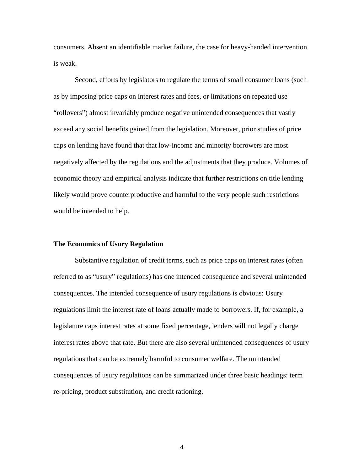consumers. Absent an identifiable market failure, the case for heavy-handed intervention is weak.

Second, efforts by legislators to regulate the terms of small consumer loans (such as by imposing price caps on interest rates and fees, or limitations on repeated use "rollovers") almost invariably produce negative unintended consequences that vastly exceed any social benefits gained from the legislation. Moreover, prior studies of price caps on lending have found that that low-income and minority borrowers are most negatively affected by the regulations and the adjustments that they produce. Volumes of economic theory and empirical analysis indicate that further restrictions on title lending likely would prove counterproductive and harmful to the very people such restrictions would be intended to help.

## **The Economics of Usury Regulation**

Substantive regulation of credit terms, such as price caps on interest rates (often referred to as "usury" regulations) has one intended consequence and several unintended consequences. The intended consequence of usury regulations is obvious: Usury regulations limit the interest rate of loans actually made to borrowers. If, for example, a legislature caps interest rates at some fixed percentage, lenders will not legally charge interest rates above that rate. But there are also several unintended consequences of usury regulations that can be extremely harmful to consumer welfare. The unintended consequences of usury regulations can be summarized under three basic headings: term re-pricing, product substitution, and credit rationing.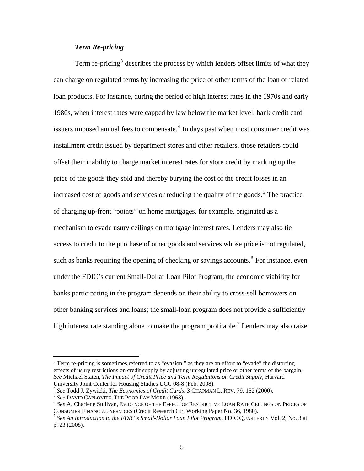## *Term Re-pricing*

Term re-pricing<sup>[3](#page-5-0)</sup> describes the process by which lenders offset limits of what they can charge on regulated terms by increasing the price of other terms of the loan or related loan products. For instance, during the period of high interest rates in the 1970s and early 1980s, when interest rates were capped by law below the market level, bank credit card issuers imposed annual fees to compensate. $4$  In days past when most consumer credit was installment credit issued by department stores and other retailers, those retailers could offset their inability to charge market interest rates for store credit by marking up the price of the goods they sold and thereby burying the cost of the credit losses in an increased cost of goods and services or reducing the quality of the goods.<sup>[5](#page-5-2)</sup> The practice of charging up-front "points" on home mortgages, for example, originated as a mechanism to evade usury ceilings on mortgage interest rates. Lenders may also tie access to credit to the purchase of other goods and services whose price is not regulated, such as banks requiring the opening of checking or savings accounts.<sup>[6](#page-5-3)</sup> For instance, even under the FDIC's current Small-Dollar Loan Pilot Program, the economic viability for banks participating in the program depends on their ability to cross-sell borrowers on other banking services and loans; the small-loan program does not provide a sufficiently high interest rate standing alone to make the program profitable.<sup>[7](#page-5-4)</sup> Lenders may also raise

<span id="page-5-0"></span> $3$  Term re-pricing is sometimes referred to as "evasion," as they are an effort to "evade" the distorting effects of usury restrictions on credit supply by adjusting unregulated price or other terms of the bargain. *See* Michael Staten, *The Impact of Credit Price and Term Regulations on Credit Supply*, Harvard University Joint Center for Housing Studies UCC 08-8 (Feb. 2008).<br><sup>4</sup> See Todd J. Zywicki, *The Economics of Credit Cards*, 3 CHAPMAN L. REV. 79, 152 (2000).

<span id="page-5-3"></span><span id="page-5-2"></span><span id="page-5-1"></span> $^5$  See David Caplovitz, The Poor Pay More (1963).<br> $^6$  See A. Charlene Sullivan, Evidence of the Effect of Restrictive Loan Rate Ceilings on Prices of CONSUMER FINANCIAL SERVICES (Credit Research Ctr. Working Paper No. 36, 1980). 7 *See An Introduction to the FDIC's Small-Dollar Loan Pilot Program*, FDIC QUARTERLY Vol. 2, No. 3 at

<span id="page-5-4"></span>p. 23 (2008).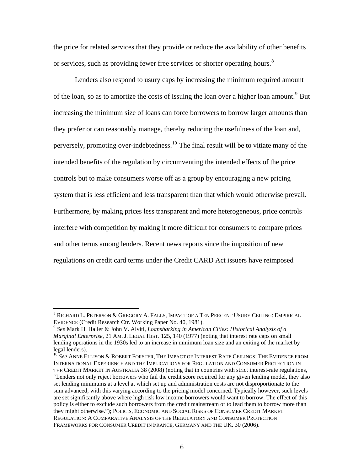the price for related services that they provide or reduce the availability of other benefits or services, such as providing fewer free services or shorter operating hours.<sup>[8](#page-6-0)</sup>

Lenders also respond to usury caps by increasing the minimum required amount of the loan, so as to amortize the costs of issuing the loan over a higher loan amount.<sup>[9](#page-6-1)</sup> But increasing the minimum size of loans can force borrowers to borrow larger amounts than they prefer or can reasonably manage, thereby reducing the usefulness of the loan and, perversely, promoting over-indebtedness.<sup>[10](#page-6-2)</sup> The final result will be to vitiate many of the intended benefits of the regulation by circumventing the intended effects of the price controls but to make consumers worse off as a group by encouraging a new pricing system that is less efficient and less transparent than that which would otherwise prevail. Furthermore, by making prices less transparent and more heterogeneous, price controls interfere with competition by making it more difficult for consumers to compare prices and other terms among lenders. Recent news reports since the imposition of new regulations on credit card terms under the Credit CARD Act issuers have reimposed

<span id="page-6-0"></span> $^8$  Richard L. Peterson & Gregory A. Falls, Impact of a Ten Percent Usury Ceiling: Empirical EVIDENCE (Credit Research Ctr. Working Paper No. 40, 1981). 9 *See* Mark H. Haller & John V. Alviti, *Loansharking in American Cities: Historical Analysis of a* 

<span id="page-6-1"></span>*Marginal Enterprise*, 21 AM. J. LEGAL HIST. 125, 140 (1977) (noting that interest rate caps on small lending operations in the 1930s led to an increase in minimum loan size and an exiting of the market by legal lenders).

<span id="page-6-2"></span><sup>&</sup>lt;sup>10</sup> See ANNE ELLISON & ROBERT FORSTER, THE IMPACT OF INTEREST RATE CEILINGS: THE EVIDENCE FROM INTERNATIONAL EXPERIENCE AND THE IMPLICATIONS FOR REGULATION AND CONSUMER PROTECTION IN THE CREDIT MARKET IN AUSTRALIA 38 (2008) (noting that in countries with strict interest-rate regulations, "Lenders not only reject borrowers who fail the credit score required for any given lending model, they also set lending minimums at a level at which set up and administration costs are not disproportionate to the sum advanced, with this varying according to the pricing model concerned. Typically however, such levels are set significantly above where high risk low income borrowers would want to borrow. The effect of this policy is either to exclude such borrowers from the credit mainstream or to lead them to borrow more than they might otherwise."); POLICIS, ECONOMIC AND SOCIAL RISKS OF CONSUMER CREDIT MARKET REGULATION: A COMPARATIVE ANALYSIS OF THE REGULATORY AND CONSUMER PROTECTION FRAMEWORKS FOR CONSUMER CREDIT IN FRANCE, GERMANY AND THE UK. 30 (2006).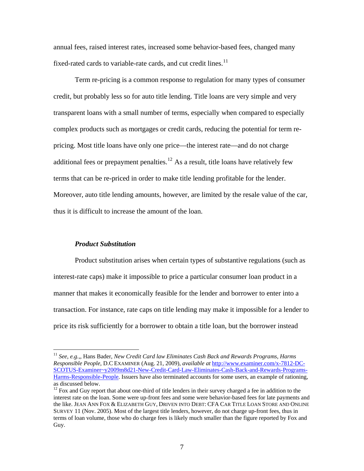annual fees, raised interest rates, increased some behavior-based fees, changed many fixed-rated cards to variable-rate cards, and cut credit lines.<sup>[11](#page-7-0)</sup>

Term re-pricing is a common response to regulation for many types of consumer credit, but probably less so for auto title lending. Title loans are very simple and very transparent loans with a small number of terms, especially when compared to especially complex products such as mortgages or credit cards, reducing the potential for term repricing. Most title loans have only one price—the interest rate—and do not charge additional fees or prepayment penalties.<sup>[12](#page-7-1)</sup> As a result, title loans have relatively few terms that can be re-priced in order to make title lending profitable for the lender. Moreover, auto title lending amounts, however, are limited by the resale value of the car, thus it is difficult to increase the amount of the loan.

#### *Product Substitution*

 $\overline{a}$ 

Product substitution arises when certain types of substantive regulations (such as interest-rate caps) make it impossible to price a particular consumer loan product in a manner that makes it economically feasible for the lender and borrower to enter into a transaction. For instance, rate caps on title lending may make it impossible for a lender to price its risk sufficiently for a borrower to obtain a title loan, but the borrower instead

<span id="page-7-0"></span><sup>11</sup> *See*, *e.g.,*, Hans Bader, *New Credit Card law Eliminates Cash Back and Rewards Programs, Harms Responsible People*, D.C EXAMINER (Aug. 21, 2009), *available at* [http://www.examiner.com/x-7812-DC-](http://www.examiner.com/x-7812-DC-SCOTUS-Examiner%7Ey2009m8d21-New-Credit-Card-Law-Eliminates-Cash-Back-and-Rewards-Programs-Harms-Responsible-People)[SCOTUS-Examiner~y2009m8d21-New-Credit-Card-Law-Eliminates-Cash-Back-and-Rewards-Programs-](http://www.examiner.com/x-7812-DC-SCOTUS-Examiner%7Ey2009m8d21-New-Credit-Card-Law-Eliminates-Cash-Back-and-Rewards-Programs-Harms-Responsible-People)[Harms-Responsible-People.](http://www.examiner.com/x-7812-DC-SCOTUS-Examiner%7Ey2009m8d21-New-Credit-Card-Law-Eliminates-Cash-Back-and-Rewards-Programs-Harms-Responsible-People) Issuers have also terminated accounts for some users, an example of rationing, as discussed below.

<span id="page-7-1"></span> $12$  Fox and Guy report that about one-third of title lenders in their survey charged a fee in addition to the interest rate on the loan. Some were up-front fees and some were behavior-based fees for late payments and the like. JEAN ANN FOX & ELIZABETH GUY, DRIVEN INTO DEBT: CFA CAR TITLE LOAN STORE AND ONLINE SURVEY 11 (Nov. 2005). Most of the largest title lenders, however, do not charge up-front fees, thus in terms of loan volume, those who do charge fees is likely much smaller than the figure reported by Fox and Guy.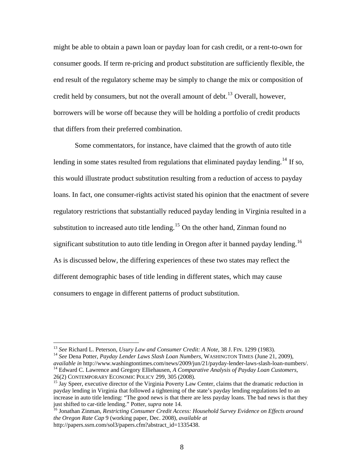might be able to obtain a pawn loan or payday loan for cash credit, or a rent-to-own for consumer goods. If term re-pricing and product substitution are sufficiently flexible, the end result of the regulatory scheme may be simply to change the mix or composition of credit held by consumers, but not the overall amount of debt.<sup>[13](#page-8-0)</sup> Overall, however, borrowers will be worse off because they will be holding a portfolio of credit products that differs from their preferred combination.

Some commentators, for instance, have claimed that the growth of auto title lending in some states resulted from regulations that eliminated payday lending.<sup>[14](#page-8-1)</sup> If so, this would illustrate product substitution resulting from a reduction of access to payday loans. In fact, one consumer-rights activist stated his opinion that the enactment of severe regulatory restrictions that substantially reduced payday lending in Virginia resulted in a substitution to increased auto title lending.<sup>[15](#page-8-2)</sup> On the other hand, Zinman found no significant substitution to auto title lending in Oregon after it banned payday lending.<sup>[16](#page-8-3)</sup> As is discussed below, the differing experiences of these two states may reflect the different demographic bases of title lending in different states, which may cause consumers to engage in different patterns of product substitution.

1

<span id="page-8-1"></span><span id="page-8-0"></span><sup>&</sup>lt;sup>13</sup> *See* Richard L. Peterson, *Usury Law and Consumer Credit: A Note*, 38 J. FIN. 1299 (1983).<br><sup>14</sup> *See* Dena Potter, *Payday Lender Laws Slash Loan Numbers*, WASHINGTON TIMES (June 21, 2009), *available in http://www.w* <sup>14</sup> Edward C. Lawrence and Gregory Elliehausen, *A Comparative Analysis of Payday Loan Customers*,

<span id="page-8-2"></span><sup>26(2)</sup> CONTEMPORARY ECONOMIC POLICY 299, 305 (2008).<br><sup>15</sup> Jay Speer, executive director of the Virginia Poverty Law Center, claims that the dramatic reduction in payday lending in Virginia that followed a tightening of the state's payday lending regulations led to an increase in auto title lending: "The good news is that there are less payday loans. The bad news is that they just shifted to car-title lending." Potter, *supra* note 14.

<span id="page-8-3"></span><sup>&</sup>lt;sup>16</sup> Jonathan Zinman, *Restricting Consumer Credit Access: Household Survey Evidence on Effects around the Oregon Rate Cap* 9 (working paper, Dec. 2008), *available at* http://papers.ssrn.com/sol3/papers.cfm?abstract\_id=1335438.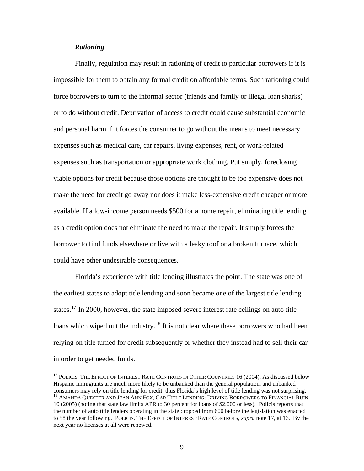## *Rationing*

 $\overline{a}$ 

Finally, regulation may result in rationing of credit to particular borrowers if it is impossible for them to obtain any formal credit on affordable terms. Such rationing could force borrowers to turn to the informal sector (friends and family or illegal loan sharks) or to do without credit. Deprivation of access to credit could cause substantial economic and personal harm if it forces the consumer to go without the means to meet necessary expenses such as medical care, car repairs, living expenses, rent, or work-related expenses such as transportation or appropriate work clothing. Put simply, foreclosing viable options for credit because those options are thought to be too expensive does not make the need for credit go away nor does it make less-expensive credit cheaper or more available. If a low-income person needs \$500 for a home repair, eliminating title lending as a credit option does not eliminate the need to make the repair. It simply forces the borrower to find funds elsewhere or live with a leaky roof or a broken furnace, which could have other undesirable consequences.

Florida's experience with title lending illustrates the point. The state was one of the earliest states to adopt title lending and soon became one of the largest title lending states.<sup>[17](#page-9-0)</sup> In 2000, however, the state imposed severe interest rate ceilings on auto title loans which wiped out the industry.<sup>[18](#page-9-1)</sup> It is not clear where these borrowers who had been relying on title turned for credit subsequently or whether they instead had to sell their car in order to get needed funds.

<span id="page-9-1"></span><span id="page-9-0"></span><sup>&</sup>lt;sup>17</sup> POLICIS, THE EFFECT OF INTEREST RATE CONTROLS IN OTHER COUNTRIES 16 (2004). As discussed below Hispanic immigrants are much more likely to be unbanked than the general population, and unbanked consumers may rely on title lending for credit, thus Florida's high level of title lending was not surprising. 18 AMANDA QUESTER AND JEAN ANN FOX, CAR TITLE LENDING: DRIVING BORROWERS TO FINANCIAL RUIN 10 (2005) (noting that state law limits APR to 30 percent for loans of \$2,000 or less). Policis reports that the number of auto title lenders operating in the state dropped from 600 before the legislation was enacted to 58 the year following. POLICIS, THE EFFECT OF INTEREST RATE CONTROLS, *supra* note 17, at 16. By the next year no licenses at all were renewed.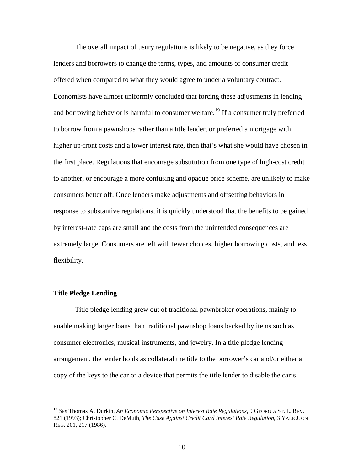The overall impact of usury regulations is likely to be negative, as they force lenders and borrowers to change the terms, types, and amounts of consumer credit offered when compared to what they would agree to under a voluntary contract. Economists have almost uniformly concluded that forcing these adjustments in lending and borrowing behavior is harmful to consumer welfare.<sup>[19](#page-10-0)</sup> If a consumer truly preferred to borrow from a pawnshops rather than a title lender, or preferred a mortgage with higher up-front costs and a lower interest rate, then that's what she would have chosen in the first place. Regulations that encourage substitution from one type of high-cost credit to another, or encourage a more confusing and opaque price scheme, are unlikely to make consumers better off. Once lenders make adjustments and offsetting behaviors in response to substantive regulations, it is quickly understood that the benefits to be gained by interest-rate caps are small and the costs from the unintended consequences are extremely large. Consumers are left with fewer choices, higher borrowing costs, and less flexibility.

#### **Title Pledge Lending**

 $\overline{a}$ 

Title pledge lending grew out of traditional pawnbroker operations, mainly to enable making larger loans than traditional pawnshop loans backed by items such as consumer electronics, musical instruments, and jewelry. In a title pledge lending arrangement, the lender holds as collateral the title to the borrower's car and/or either a copy of the keys to the car or a device that permits the title lender to disable the car's

<span id="page-10-0"></span><sup>19</sup> *See* Thomas A. Durkin, *An Economic Perspective on Interest Rate Regulations*, 9 GEORGIA ST. L. REV. 821 (1993); Christopher C. DeMuth, *The Case Against Credit Card Interest Rate Regulation*, 3 YALE J. ON REG. 201, 217 (1986).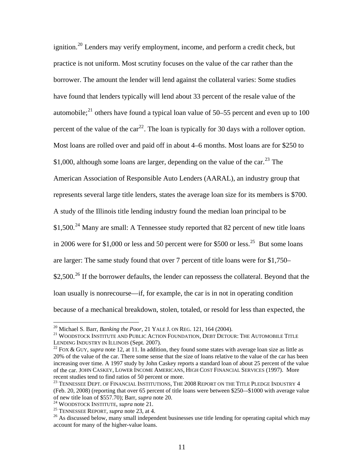ignition.<sup>[20](#page-11-0)</sup> Lenders may verify employment, income, and perform a credit check, but practice is not uniform. Most scrutiny focuses on the value of the car rather than the borrower. The amount the lender will lend against the collateral varies: Some studies have found that lenders typically will lend about 33 percent of the resale value of the automobile;<sup>[21](#page-11-1)</sup> others have found a typical loan value of 50–55 percent and even up to 100 percent of the value of the car<sup>[22](#page-11-2)</sup>. The loan is typically for 30 days with a rollover option. Most loans are rolled over and paid off in about 4–6 months. Most loans are for \$250 to \$1,000, although some loans are larger, depending on the value of the car.<sup>[23](#page-11-3)</sup> The American Association of Responsible Auto Lenders (AARAL), an industry group that represents several large title lenders, states the average loan size for its members is \$700. A study of the Illinois title lending industry found the median loan principal to be \$1,500.<sup>[24](#page-11-4)</sup> Many are small: A Tennessee study reported that 82 percent of new title loans in 2006 were for \$1,000 or less and 50 percent were for \$500 or less.<sup>[25](#page-11-5)</sup> But some loans are larger: The same study found that over 7 percent of title loans were for \$1,750–  $$2,500.<sup>26</sup>$  $$2,500.<sup>26</sup>$  $$2,500.<sup>26</sup>$  If the borrower defaults, the lender can repossess the collateral. Beyond that the loan usually is nonrecourse—if, for example, the car is in not in operating condition because of a mechanical breakdown, stolen, totaled, or resold for less than expected, the

<sup>&</sup>lt;sup>20</sup> Michael S. Barr, *Banking the Poor*, 21 YALE J. ON REG. 121, 164 (2004).

<span id="page-11-1"></span><span id="page-11-0"></span><sup>&</sup>lt;sup>21</sup> WOODSTOCK INSTITUTE AND PUBLIC ACTION FOUNDATION, DEBT DETOUR: THE AUTOMOBILE TITLE LENDING INDUSTRY IN ILLINOIS (Sept. 2007).<br><sup>22</sup> FOX & GUY, *supra* note 12, at 11. In addition, they found some states with average loan size as little as

<span id="page-11-2"></span><sup>20%</sup> of the value of the car. There some sense that the size of loans relative to the value of the car has been increasing over time. A 1997 study by John Caskey reports a standard loan of about 25 percent of the value of the car. JOHN CASKEY, LOWER INCOME AMERICANS, HIGH COST FINANCIAL SERVICES (1997). More recent studies tend to find ratios of 50 percent or more.<br><sup>23</sup> TENNESSEE DEPT. OF FINANCIAL INSTITUTIONS, THE 2008 REPORT ON THE TITLE PLEDGE INDUSTRY 4

<span id="page-11-3"></span><sup>(</sup>Feb. 20, 2008) (reporting that over 65 percent of title loans were between \$250–-\$1000 with average value of new title loan of \$557.70); Barr, *supra* note 20.<br><sup>24</sup> WOODSTOCK INSTITUTE, *supra* note 21.<br><sup>25</sup> TENNESSEE REPORT, *supra* note 23, at 4.<br><sup>26</sup> As discussed below, many small independent businesses use title lending fo

<span id="page-11-5"></span><span id="page-11-4"></span>

<span id="page-11-6"></span>account for many of the higher-value loans.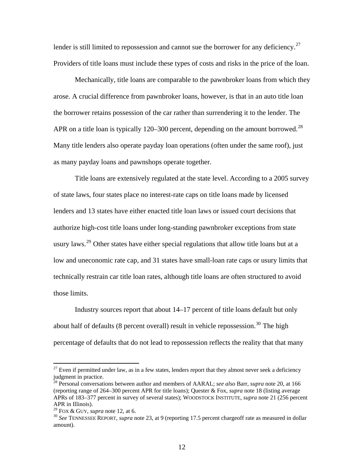lender is still limited to repossession and cannot sue the borrower for any deficiency.<sup>[27](#page-12-0)</sup> Providers of title loans must include these types of costs and risks in the price of the loan.

Mechanically, title loans are comparable to the pawnbroker loans from which they arose. A crucial difference from pawnbroker loans, however, is that in an auto title loan the borrower retains possession of the car rather than surrendering it to the lender. The APR on a title loan is typically 120–300 percent, depending on the amount borrowed.<sup>[28](#page-12-1)</sup> Many title lenders also operate payday loan operations (often under the same roof), just as many payday loans and pawnshops operate together.

Title loans are extensively regulated at the state level. According to a 2005 survey of state laws, four states place no interest-rate caps on title loans made by licensed lenders and 13 states have either enacted title loan laws or issued court decisions that authorize high-cost title loans under long-standing pawnbroker exceptions from state usury laws.<sup>[29](#page-12-2)</sup> Other states have either special regulations that allow title loans but at a low and uneconomic rate cap, and 31 states have small-loan rate caps or usury limits that technically restrain car title loan rates, although title loans are often structured to avoid those limits.

Industry sources report that about 14–17 percent of title loans default but only about half of defaults (8 percent overall) result in vehicle repossession.<sup>[30](#page-12-3)</sup> The high percentage of defaults that do not lead to repossession reflects the reality that that many

<span id="page-12-0"></span> $27$  Even if permitted under law, as in a few states, lenders report that they almost never seek a deficiency judgment in practice.

<span id="page-12-1"></span><sup>28</sup> Personal conversations between author and members of AARAL; *see also* Barr, *supra* note 20, at 166 (reporting range of 264–300 percent APR for title loans); Quester & Fox, *supra* note 18 (listing average APRs of 183–377 percent in survey of several states); WOODSTOCK INSTITUTE, *supra* note 21 (256 percent APR in Illinois).<br><sup>29</sup> FOX & GUY, *supra* note 12, at 6.

<span id="page-12-3"></span><span id="page-12-2"></span><sup>&</sup>lt;sup>30</sup> See TENNESSEE REPORT, *supra* note 23, at 9 (reporting 17.5 percent chargeoff rate as measured in dollar amount).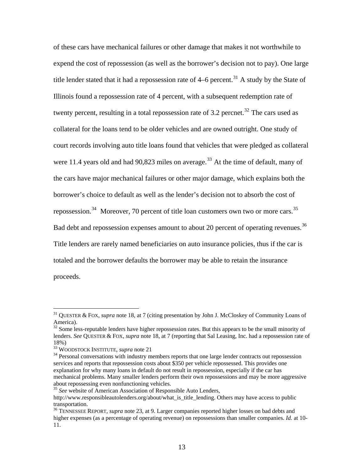of these cars have mechanical failures or other damage that makes it not worthwhile to expend the cost of repossession (as well as the borrower's decision not to pay). One large title lender stated that it had a repossession rate of  $4-6$  percent.<sup>[31](#page-13-0)</sup> A study by the State of Illinois found a repossession rate of 4 percent, with a subsequent redemption rate of twenty percent, resulting in a total repossession rate of 3.2 percnet.<sup>[32](#page-13-1)</sup> The cars used as collateral for the loans tend to be older vehicles and are owned outright. One study of court records involving auto title loans found that vehicles that were pledged as collateral were 11.4 years old and had 90,823 miles on average.<sup>[33](#page-13-2)</sup> At the time of default, many of the cars have major mechanical failures or other major damage, which explains both the borrower's choice to default as well as the lender's decision not to absorb the cost of repossession.<sup>[34](#page-13-3)</sup> Moreover, 70 percent of title loan customers own two or more cars.<sup>[35](#page-13-4)</sup> Bad debt and repossession expenses amount to about 20 percent of operating revenues.<sup>[36](#page-13-5)</sup> Title lenders are rarely named beneficiaries on auto insurance policies, thus if the car is totaled and the borrower defaults the borrower may be able to retain the insurance proceeds.

1

<span id="page-13-0"></span><sup>31</sup> QUESTER & FOX, *supra* note 18, at 7 (citing presentation by John J. McCloskey of Community Loans of America).

<span id="page-13-1"></span> $32$  Some less-reputable lenders have higher repossession rates. But this appears to be the small minority of lenders. *See* QUESTER & FOX, *supra* note 18, at 7 (reporting that Sal Leasing, Inc. had a repossession rate of 18%)<br><sup>33</sup> WOODSTOCK INSTITUTE, *supra* note 21

<span id="page-13-2"></span>

<span id="page-13-3"></span><sup>&</sup>lt;sup>34</sup> Personal conversations with industry members reports that one large lender contracts out repossession services and reports that repossession costs about \$350 per vehicle repossessed. This provides one explanation for why many loans in default do not result in repossession, especially if the car has mechanical problems. Many smaller lenders perform their own repossessions and may be more aggressive about repossessing even nonfunctioning vehicles.

<span id="page-13-4"></span><sup>&</sup>lt;sup>35</sup> See website of American Association of Responsible Auto Lenders,

http://www.responsibleautolenders.org/about/what\_is\_title\_lending. Others may have access to public transportation.

<span id="page-13-5"></span><sup>36</sup> TENNESSEE REPORT, *supra* note 23, at 9. Larger companies reported higher losses on bad debts and higher expenses (as a percentage of operating revenue) on repossessions than smaller companies. *Id.* at 10- 11.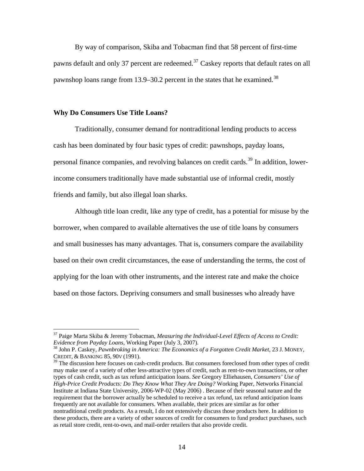By way of comparison, Skiba and Tobacman find that 58 percent of first-time pawns default and only [37](#page-14-0) percent are redeemed.<sup>37</sup> Caskey reports that default rates on all pawnshop loans range from 13.9–30.2 percent in the states that he examined.<sup>[38](#page-14-1)</sup>

#### **Why Do Consumers Use Title Loans?**

 $\overline{a}$ 

Traditionally, consumer demand for nontraditional lending products to access cash has been dominated by four basic types of credit: pawnshops, payday loans, personal finance companies, and revolving balances on credit cards.<sup>[39](#page-14-2)</sup> In addition, lowerincome consumers traditionally have made substantial use of informal credit, mostly friends and family, but also illegal loan sharks.

Although title loan credit, like any type of credit, has a potential for misuse by the borrower, when compared to available alternatives the use of title loans by consumers and small businesses has many advantages. That is, consumers compare the availability based on their own credit circumstances, the ease of understanding the terms, the cost of applying for the loan with other instruments, and the interest rate and make the choice based on those factors. Depriving consumers and small businesses who already have

<span id="page-14-0"></span><sup>37</sup> Paige Marta Skiba & Jeremy Tobacman, *Measuring the Individual-Level Effects of Access to Credit: Evidence from Payday Loans*, Working Paper (July 3, 2007).<br><sup>38</sup> John P. Caskey, *Pawnbroking in America: The Economics of a Forgotten Credit Market*, 23 J. MONEY,

<span id="page-14-1"></span>CREDIT, & BANKING 85, 90V (1991).

<span id="page-14-2"></span> $39$  The discussion here focuses on cash-credit products. But consumers foreclosed from other types of credit may make use of a variety of other less-attractive types of credit, such as rent-to-own transactions, or other types of cash credit, such as tax refund anticipation loans. *See* Gregory Elliehausen, *Consumers' Use of High-Price Credit Products: Do They Know What They Are Doing?* Working Paper, Networks Financial Institute at Indiana State University, 2006-WP-02 (May 2006) . Because of their seasonal nature and the requirement that the borrower actually be scheduled to receive a tax refund, tax refund anticipation loans frequently are not available for consumers. When available, their prices are similar as for other nontraditional credit products. As a result, I do not extensively discuss those products here. In addition to these products, there are a variety of other sources of credit for consumers to fund product purchases, such as retail store credit, rent-to-own, and mail-order retailers that also provide credit.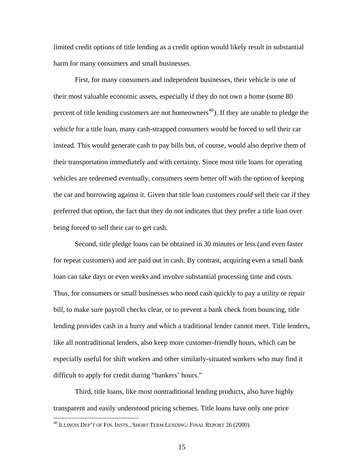limited credit options of title lending as a credit option would likely result in substantial harm for many consumers and small businesses.

First, for many consumers and independent businesses, their vehicle is one of their most valuable economic assets, especially if they do not own a home (some 80 percent of title lending customers are not homeowners<sup>[40](#page-15-0)</sup>). If they are unable to pledge the vehicle for a title loan, many cash-strapped consumers would be forced to sell their car instead. This would generate cash to pay bills but, of course, would also deprive them of their transportation immediately and with certainty. Since most title loans for operating vehicles are redeemed eventually, consumers seem better off with the option of keeping the car and borrowing against it. Given that title loan customers *could* sell their car if they preferred that option, the fact that they do not indicates that they prefer a title loan over being forced to sell their car to get cash.

Second, title pledge loans can be obtained in 30 minutes or less (and even faster for repeat customers) and are paid out in cash. By contrast, acquiring even a small bank loan can take days or even weeks and involve substantial processing time and costs. Thus, for consumers or small businesses who need cash quickly to pay a utility or repair bill, to make sure payroll checks clear, or to prevent a bank check from bouncing, title lending provides cash in a hurry and which a traditional lender cannot meet. Title lenders, like all nontraditional lenders, also keep more customer-friendly hours, which can be especially useful for shift workers and other similarly-situated workers who may find it difficult to apply for credit during "bankers' hours."

Third, title loans, like most nontraditional lending products, also have highly transparent and easily understood pricing schemes. Title loans have only one price

<span id="page-15-0"></span> $^{40}$  Illinois Dep't of Fin. Insts., Short Term Lending: Final Report 26 (2000).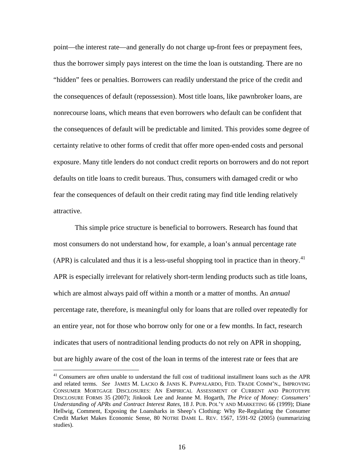point—the interest rate—and generally do not charge up-front fees or prepayment fees, thus the borrower simply pays interest on the time the loan is outstanding. There are no "hidden" fees or penalties. Borrowers can readily understand the price of the credit and the consequences of default (repossession). Most title loans, like pawnbroker loans, are nonrecourse loans, which means that even borrowers who default can be confident that the consequences of default will be predictable and limited. This provides some degree of certainty relative to other forms of credit that offer more open-ended costs and personal exposure. Many title lenders do not conduct credit reports on borrowers and do not report defaults on title loans to credit bureaus. Thus, consumers with damaged credit or who fear the consequences of default on their credit rating may find title lending relatively attractive.

This simple price structure is beneficial to borrowers. Research has found that most consumers do not understand how, for example, a loan's annual percentage rate (APR) is calculated and thus it is a less-useful shopping tool in practice than in theory.<sup>[41](#page-16-0)</sup> APR is especially irrelevant for relatively short-term lending products such as title loans, which are almost always paid off within a month or a matter of months. An *annual* percentage rate, therefore, is meaningful only for loans that are rolled over repeatedly for an entire year, not for those who borrow only for one or a few months. In fact, research indicates that users of nontraditional lending products do not rely on APR in shopping, but are highly aware of the cost of the loan in terms of the interest rate or fees that are

1

<span id="page-16-0"></span><sup>&</sup>lt;sup>41</sup> Consumers are often unable to understand the full cost of traditional installment loans such as the APR and related terms. *See* JAMES M. LACKO & JANIS K. PAPPALARDO, FED. TRADE COMM'N., IMPROVING CONSUMER MORTGAGE DISCLOSURES: AN EMPIRICAL ASSESSMENT OF CURRENT AND PROTOTYPE DISCLOSURE FORMS 35 (2007); Jinkook Lee and Jeanne M. Hogarth, *The Price of Money: Consumers' Understanding of APRs and Contract Interest Rates*, 18 J. PUB. POL'Y AND MARKETING 66 (1999); Diane Hellwig, Comment, Exposing the Loansharks in Sheep's Clothing: Why Re-Regulating the Consumer Credit Market Makes Economic Sense, 80 NOTRE DAME L. REV. 1567, 1591-92 (2005) (summarizing studies).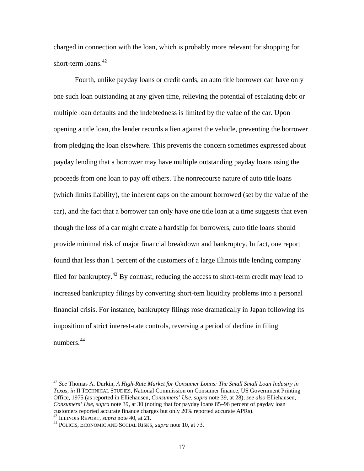charged in connection with the loan, which is probably more relevant for shopping for short-term loans.<sup>[42](#page-17-0)</sup>

Fourth, unlike payday loans or credit cards, an auto title borrower can have only one such loan outstanding at any given time, relieving the potential of escalating debt or multiple loan defaults and the indebtedness is limited by the value of the car. Upon opening a title loan, the lender records a lien against the vehicle, preventing the borrower from pledging the loan elsewhere. This prevents the concern sometimes expressed about payday lending that a borrower may have multiple outstanding payday loans using the proceeds from one loan to pay off others. The nonrecourse nature of auto title loans (which limits liability), the inherent caps on the amount borrowed (set by the value of the car), and the fact that a borrower can only have one title loan at a time suggests that even though the loss of a car might create a hardship for borrowers, auto title loans should provide minimal risk of major financial breakdown and bankruptcy. In fact, one report found that less than 1 percent of the customers of a large Illinois title lending company filed for bankruptcy.<sup>[43](#page-17-1)</sup> By contrast, reducing the access to short-term credit may lead to increased bankruptcy filings by converting short-tem liquidity problems into a personal financial crisis. For instance, bankruptcy filings rose dramatically in Japan following its imposition of strict interest-rate controls, reversing a period of decline in filing numbers.[44](#page-17-2)

<span id="page-17-2"></span><span id="page-17-1"></span>

<span id="page-17-0"></span><sup>42</sup> *See* Thomas A. Durkin, *A High-Rate Market for Consumer Loans: The Small Small Loan Industry in Texas*, *in* II TECHNICAL STUDIES, National Commission on Consumer finance, US Government Printing Office, 1975 (as reported in Elliehausen, *Consumers' Use*, *supra* note 39, at 28); *see also* Elliehausen, *Consumers' Use*, *supra* note 39, at 30 (noting that for payday loans 85–96 percent of payday loan customers reported accurate finance charges but only 20% reported accurate APRs). 43 ILLINOIS REPORT, *supra* note 40, at 21. 44 POLICIS, ECONOMIC AND SOCIAL RISKS, *supra* note 10, at 73.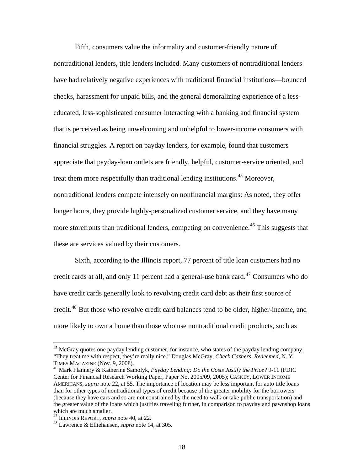Fifth, consumers value the informality and customer-friendly nature of nontraditional lenders, title lenders included. Many customers of nontraditional lenders have had relatively negative experiences with traditional financial institutions—bounced checks, harassment for unpaid bills, and the general demoralizing experience of a lesseducated, less-sophisticated consumer interacting with a banking and financial system that is perceived as being unwelcoming and unhelpful to lower-income consumers with financial struggles. A report on payday lenders, for example, found that customers appreciate that payday-loan outlets are friendly, helpful, customer-service oriented, and treat them more respectfully than traditional lending institutions.<sup>[45](#page-18-0)</sup> Moreover, nontraditional lenders compete intensely on nonfinancial margins: As noted, they offer longer hours, they provide highly-personalized customer service, and they have many more storefronts than traditional lenders, competing on convenience.<sup>[46](#page-18-1)</sup> This suggests that these are services valued by their customers.

Sixth, according to the Illinois report, 77 percent of title loan customers had no credit cards at all, and only 11 percent had a general-use bank card.<sup>[47](#page-18-2)</sup> Consumers who do have credit cards generally look to revolving credit card debt as their first source of credit.<sup>[48](#page-18-3)</sup> But those who revolve credit card balances tend to be older, higher-income, and more likely to own a home than those who use nontraditional credit products, such as

<span id="page-18-0"></span> $45$  McGray quotes one payday lending customer, for instance, who states of the payday lending company, "They treat me with respect, they're really nice." Douglas McGray, *Check Cashers, Redeemed*, N. Y. TIMES MAGAZINE (Nov. 9, 2008). 46 Mark Flannery & Katherine Samolyk*, Payday Lending: Do the Costs Justify the Price?* 9-11 (FDIC

<span id="page-18-1"></span>Center for Financial Research Working Paper, Paper No. 2005/09, 2005); CASKEY, LOWER INCOME AMERICANS, *supra* note 22, at 55. The importance of location may be less important for auto title loans than for other types of nontraditional types of credit because of the greater mobility for the borrowers (because they have cars and so are not constrained by the need to walk or take public transportation) and the greater value of the loans which justifies traveling further, in comparison to payday and pawnshop loans which are much smaller.<br> $^{47}$  ILLINOIS REPORT, *supra* note 40, at 22.

<span id="page-18-3"></span><span id="page-18-2"></span>

<sup>&</sup>lt;sup>48</sup> Lawrence & Elliehausen, *supra* note 14, at 305.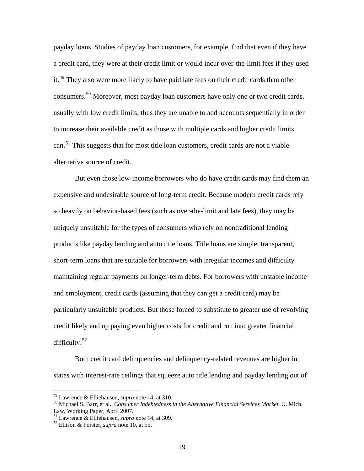payday loans. Studies of payday loan customers, for example, find that even if they have a credit card, they were at their credit limit or would incur over-the-limit fees if they used it.<sup>[49](#page-19-0)</sup> They also were more likely to have paid late fees on their credit cards than other consumers.<sup>[50](#page-19-1)</sup> Moreover, most payday loan customers have only one or two credit cards, usually with low credit limits; thus they are unable to add accounts sequentially in order to increase their available credit as those with multiple cards and higher credit limits can.<sup>[51](#page-19-2)</sup> This suggests that for most title loan customers, credit cards are not a viable alternative source of credit.

But even those low-income borrowers who do have credit cards may find them an expensive and undesirable source of long-term credit. Because modern credit cards rely so heavily on behavior-based fees (such as over-the-limit and late fees), they may be uniquely unsuitable for the types of consumers who rely on nontraditional lending products like payday lending and auto title loans. Title loans are simple, transparent, short-term loans that are suitable for borrowers with irregular incomes and difficulty maintaining regular payments on longer-term debts. For borrowers with unstable income and employment, credit cards (assuming that they can get a credit card) may be particularly unsuitable products. But those forced to substitute to greater use of revolving credit likely end up paying even higher costs for credit and run into greater financial difficulty.<sup>[52](#page-19-3)</sup>

Both credit card delinquencies and delinquency-related revenues are higher in states with interest-rate ceilings that squeeze auto title lending and payday lending out of

<span id="page-19-1"></span><span id="page-19-0"></span><sup>&</sup>lt;sup>49</sup> Lawrence & Elliehausen, *supra* note 14, at 310.<br><sup>50</sup> Michael S. Barr, et al., *Consumer Indebtedness in the Alternative Financial Services Market*, U. Mich. Law, Working Paper, April 2007.

<span id="page-19-3"></span><span id="page-19-2"></span><sup>51</sup> Lawrence & Elliehausen, *supra* note 14, at 309. 52 Ellison & Forster, *supra* note 10, at 55.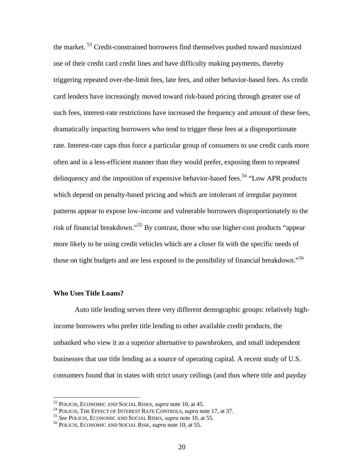the market. [53](#page-20-0) Credit-constrained borrowers find themselves pushed toward maximized use of their credit card credit lines and have difficulty making payments, thereby triggering repeated over-the-limit fees, late fees, and other behavior-based fees. As credit card lenders have increasingly moved toward risk-based pricing through greater use of such fees, interest-rate restrictions have increased the frequency and amount of these fees, dramatically impacting borrowers who tend to trigger these fees at a disproportionate rate. Interest-rate caps thus force a particular group of consumers to use credit cards more often and in a less-efficient manner than they would prefer, exposing them to repeated delinquency and the imposition of expensive behavior-based fees.<sup>[54](#page-20-1)</sup> "Low APR products" which depend on penalty-based pricing and which are intolerant of irregular payment patterns appear to expose low-income and vulnerable borrowers disproportionately to the risk of financial breakdown."[55](#page-20-2) By contrast, those who use higher-cost products "appear more likely to be using credit vehicles which are a closer fit with the specific needs of those on tight budgets and are less exposed to the possibility of financial breakdown."<sup>[56](#page-20-3)</sup>

## **Who Uses Title Loans?**

Auto title lending serves three very different demographic groups: relatively highincome borrowers who prefer title lending to other available credit products, the unbanked who view it as a superior alternative to pawnbrokers, and small independent businesses that use title lending as a source of operating capital. A recent study of U.S. consumers found that in states with strict usury ceilings (and thus where title and payday

<span id="page-20-0"></span><sup>&</sup>lt;sup>53</sup> POLICIS, ECONOMIC AND SOCIAL RISKS, *supra* note 10, at 45.

<span id="page-20-2"></span><span id="page-20-1"></span><sup>&</sup>lt;sup>54</sup> POLICIS, THE EFFECT OF INTEREST RATE CONTROLS, *supra* note 17, at 37.<br><sup>55</sup> See POLICIS, ECONOMIC AND SOCIAL RISKS, *supra* note 10, at 55.<br><sup>56</sup> POLICIS, ECONOMIC AND SOCIAL RISK, *supra* note 10, at 55.

<span id="page-20-3"></span>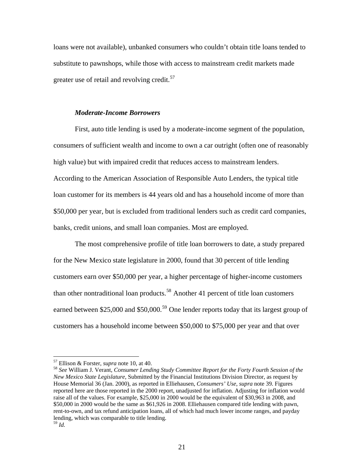loans were not available), unbanked consumers who couldn't obtain title loans tended to substitute to pawnshops, while those with access to mainstream credit markets made greater use of retail and revolving credit.<sup>[57](#page-21-0)</sup>

#### *Moderate-Income Borrowers*

First, auto title lending is used by a moderate-income segment of the population, consumers of sufficient wealth and income to own a car outright (often one of reasonably high value) but with impaired credit that reduces access to mainstream lenders. According to the American Association of Responsible Auto Lenders, the typical title loan customer for its members is 44 years old and has a household income of more than \$50,000 per year, but is excluded from traditional lenders such as credit card companies, banks, credit unions, and small loan companies. Most are employed.

The most comprehensive profile of title loan borrowers to date, a study prepared for the New Mexico state legislature in 2000, found that 30 percent of title lending customers earn over \$50,000 per year, a higher percentage of higher-income customers than other nontraditional loan products.<sup>[58](#page-21-1)</sup> Another 41 percent of title loan customers earned between \$25,000 and \$50,000.<sup>[59](#page-21-2)</sup> One lender reports today that its largest group of customers has a household income between \$50,000 to \$75,000 per year and that over

<span id="page-21-2"></span>

<span id="page-21-1"></span><span id="page-21-0"></span><sup>57</sup> Ellison & Forster, *supra* note 10, at 40. 58 *See* William J. Verant, *Consumer Lending Study Committee Report for the Forty Fourth Session of the New Mexico State Legislature*, Submitted by the Financial Institutions Division Director, as request by House Memorial 36 (Jan. 2000), as reported in Elliehausen, *Consumers' Use*, *supra* note 39. Figures reported here are those reported in the 2000 report, unadjusted for inflation. Adjusting for inflation would raise all of the values. For example, \$25,000 in 2000 would be the equivalent of \$30,963 in 2008, and \$50,000 in 2000 would be the same as \$61,926 in 2008. Elliehausen compared title lending with pawn, rent-to-own, and tax refund anticipation loans, all of which had much lower income ranges, and payday lending, which was comparable to title lending.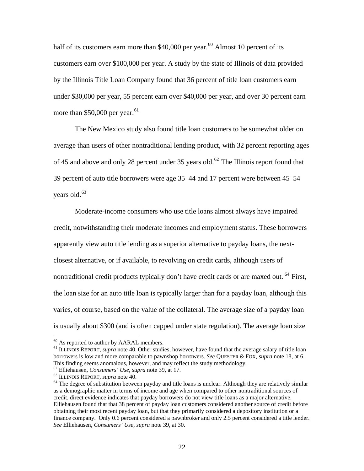half of its customers earn more than  $$40,000$  per year.<sup>[60](#page-22-0)</sup> Almost 10 percent of its customers earn over \$100,000 per year. A study by the state of Illinois of data provided by the Illinois Title Loan Company found that 36 percent of title loan customers earn under \$30,000 per year, 55 percent earn over \$40,000 per year, and over 30 percent earn more than  $$50,000$  per year.<sup>[61](#page-22-1)</sup>

The New Mexico study also found title loan customers to be somewhat older on average than users of other nontraditional lending product, with 32 percent reporting ages of 45 and above and only 28 percent under 35 years old.<sup>[62](#page-22-2)</sup> The Illinois report found that 39 percent of auto title borrowers were age 35–44 and 17 percent were between 45–54 vears old. $63$ 

Moderate-income consumers who use title loans almost always have impaired credit, notwithstanding their moderate incomes and employment status. These borrowers apparently view auto title lending as a superior alternative to payday loans, the nextclosest alternative, or if available, to revolving on credit cards, although users of nontraditional credit products typically don't have credit cards or are maxed out. <sup>[64](#page-22-4)</sup> First, the loan size for an auto title loan is typically larger than for a payday loan, although this varies, of course, based on the value of the collateral. The average size of a payday loan is usually about \$300 (and is often capped under state regulation). The average loan size

 $60$  As reported to author by AARAL members.

<span id="page-22-1"></span><span id="page-22-0"></span><sup>&</sup>lt;sup>61</sup> ILLINOIS REPORT, *supra* note 40. Other studies, however, have found that the average salary of title loan borrowers is low and more comparable to pawnshop borrowers. *See* QUESTER & FOX, *supra* note 18, at 6. This finding seems anomalous, however, and may reflect the study methodology.  $\omega$  Elliehausen, *Consumers' Use*, *supra* note 39, at 17.

<span id="page-22-4"></span><span id="page-22-3"></span><span id="page-22-2"></span><sup>&</sup>lt;sup>63</sup> ILLINOIS REPORT, *supra* note 40. **64** One of substitution between payday and title loans is unclear. Although they are relatively similar as a demographic matter in terms of income and age when compared to other nontraditional sources of credit, direct evidence indicates that payday borrowers do not view title loans as a major alternative. Elliehausen found that that 38 percent of payday loan customers considered another source of credit before obtaining their most recent payday loan, but that they primarily considered a depository institution or a finance company. Only 0.6 percent considered a pawnbroker and only 2.5 percent considered a title lender. *See* Elliehausen, *Consumers' Use*, *supra* note 39, at 30.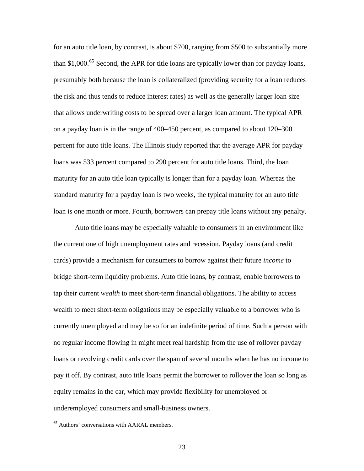for an auto title loan, by contrast, is about \$700, ranging from \$500 to substantially more than \$1,000.<sup>[65](#page-23-0)</sup> Second, the APR for title loans are typically lower than for payday loans, presumably both because the loan is collateralized (providing security for a loan reduces the risk and thus tends to reduce interest rates) as well as the generally larger loan size that allows underwriting costs to be spread over a larger loan amount. The typical APR on a payday loan is in the range of 400–450 percent, as compared to about 120–300 percent for auto title loans. The Illinois study reported that the average APR for payday loans was 533 percent compared to 290 percent for auto title loans. Third, the loan maturity for an auto title loan typically is longer than for a payday loan. Whereas the standard maturity for a payday loan is two weeks, the typical maturity for an auto title loan is one month or more. Fourth, borrowers can prepay title loans without any penalty.

Auto title loans may be especially valuable to consumers in an environment like the current one of high unemployment rates and recession. Payday loans (and credit cards) provide a mechanism for consumers to borrow against their future *income* to bridge short-term liquidity problems. Auto title loans, by contrast, enable borrowers to tap their current *wealth* to meet short-term financial obligations. The ability to access wealth to meet short-term obligations may be especially valuable to a borrower who is currently unemployed and may be so for an indefinite period of time. Such a person with no regular income flowing in might meet real hardship from the use of rollover payday loans or revolving credit cards over the span of several months when he has no income to pay it off. By contrast, auto title loans permit the borrower to rollover the loan so long as equity remains in the car, which may provide flexibility for unemployed or underemployed consumers and small-business owners.

<span id="page-23-0"></span><sup>65</sup> Authors' conversations with AARAL members.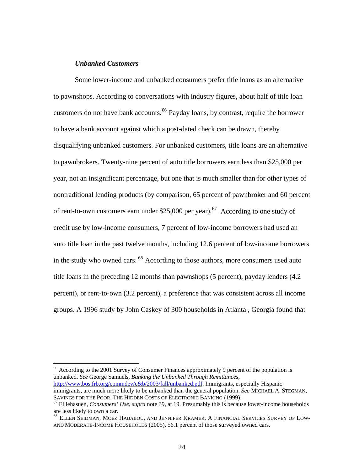#### *Unbanked Customers*

 $\overline{a}$ 

Some lower-income and unbanked consumers prefer title loans as an alternative to pawnshops. According to conversations with industry figures, about half of title loan customers do not have bank accounts.<sup>[66](#page-24-0)</sup> Payday loans, by contrast, require the borrower to have a bank account against which a post-dated check can be drawn, thereby disqualifying unbanked customers. For unbanked customers, title loans are an alternative to pawnbrokers. Twenty-nine percent of auto title borrowers earn less than \$25,000 per year, not an insignificant percentage, but one that is much smaller than for other types of nontraditional lending products (by comparison, 65 percent of pawnbroker and 60 percent of rent-to-own customers earn under \$25,000 per year).<sup>[67](#page-24-1)</sup> According to one study of credit use by low-income consumers, 7 percent of low-income borrowers had used an auto title loan in the past twelve months, including 12.6 percent of low-income borrowers in the study who owned cars. <sup>[68](#page-24-2)</sup> According to those authors, more consumers used auto title loans in the preceding 12 months than pawnshops (5 percent), payday lenders (4.2 percent), or rent-to-own (3.2 percent), a preference that was consistent across all income groups. A 1996 study by John Caskey of 300 households in Atlanta , Georgia found that

<span id="page-24-0"></span><sup>66</sup> According to the 2001 Survey of Consumer Finances approximately 9 percent of the population is unbanked. *See* George Samuels, *Banking the Unbanked Through Remittances*, [http://www.bos.frb.org/commdev/c&b/2003/fall/unbanked.pdf.](http://www.bos.frb.org/commdev/c&b/2003/fall/unbanked.pdf) Immigrants, especially Hispanic immigrants, are much more likely to be unbanked than the general population. *See* MICHAEL A. STEGMAN,

<span id="page-24-1"></span>SAVINGS FOR THE POOR: THE HIDDEN COSTS OF ELECTRONIC BANKING (1999). 67 Elliehasuen, *Consumers' Use*, *supra* note 39, at 19. Presumably this is because lower-income households are less likely to own a car.

<span id="page-24-2"></span><sup>68</sup> ELLEN SEIDMAN, MOEZ HABABOU, AND JENNIFER KRAMER, A FINANCIAL SERVICES SURVEY OF LOW-AND MODERATE-INCOME HOUSEHOLDS (2005). 56.1 percent of those surveyed owned cars.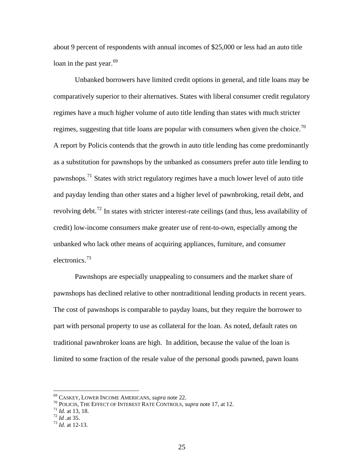about 9 percent of respondents with annual incomes of \$25,000 or less had an auto title loan in the past year.<sup>[69](#page-25-0)</sup>

Unbanked borrowers have limited credit options in general, and title loans may be comparatively superior to their alternatives. States with liberal consumer credit regulatory regimes have a much higher volume of auto title lending than states with much stricter regimes, suggesting that title loans are popular with consumers when given the choice.<sup>[70](#page-25-1)</sup> A report by Policis contends that the growth in auto title lending has come predominantly as a substitution for pawnshops by the unbanked as consumers prefer auto title lending to pawnshops.[71](#page-25-2) States with strict regulatory regimes have a much lower level of auto title and payday lending than other states and a higher level of pawnbroking, retail debt, and revolving debt.<sup>[72](#page-25-3)</sup> In states with stricter interest-rate ceilings (and thus, less availability of credit) low-income consumers make greater use of rent-to-own, especially among the unbanked who lack other means of acquiring appliances, furniture, and consumer electronics.<sup>[73](#page-25-4)</sup>

Pawnshops are especially unappealing to consumers and the market share of pawnshops has declined relative to other nontraditional lending products in recent years. The cost of pawnshops is comparable to payday loans, but they require the borrower to part with personal property to use as collateral for the loan. As noted, default rates on traditional pawnbroker loans are high. In addition, because the value of the loan is limited to some fraction of the resale value of the personal goods pawned, pawn loans

<span id="page-25-1"></span><span id="page-25-0"></span><sup>&</sup>lt;sup>69</sup> CASKEY, LOWER INCOME AMERICANS, *supra* note 22.<br><sup>70</sup> POLICIS, THE EFFECT OF INTEREST RATE CONTROLS, *supra* note 17, at 12.<br><sup>71</sup> *Id.* at 13, 18.<br><sup>72</sup> *Id.* at 12-13.

<span id="page-25-2"></span>

<span id="page-25-3"></span>

<span id="page-25-4"></span>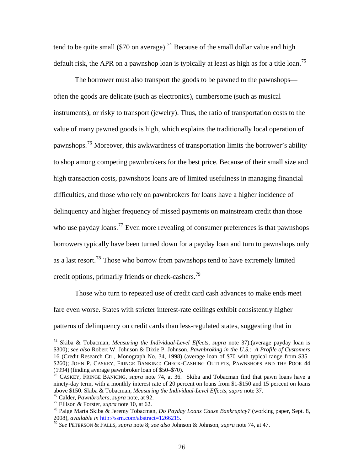tend to be quite small (\$70 on average).<sup>[74](#page-26-0)</sup> Because of the small dollar value and high default risk, the APR on a pawnshop loan is typically at least as high as for a title loan.<sup>[75](#page-26-1)</sup>

The borrower must also transport the goods to be pawned to the pawnshops often the goods are delicate (such as electronics), cumbersome (such as musical instruments), or risky to transport (jewelry). Thus, the ratio of transportation costs to the value of many pawned goods is high, which explains the traditionally local operation of pawnshops.[76](#page-26-2) Moreover, this awkwardness of transportation limits the borrower's ability to shop among competing pawnbrokers for the best price. Because of their small size and high transaction costs, pawnshops loans are of limited usefulness in managing financial difficulties, and those who rely on pawnbrokers for loans have a higher incidence of delinquency and higher frequency of missed payments on mainstream credit than those who use payday loans.<sup>[77](#page-26-3)</sup> Even more revealing of consumer preferences is that pawnshops borrowers typically have been turned down for a payday loan and turn to pawnshops only as a last resort.[78](#page-26-4) Those who borrow from pawnshops tend to have extremely limited credit options, primarily friends or check-cashers.<sup>[79](#page-26-5)</sup>

Those who turn to repeated use of credit card cash advances to make ends meet fare even worse. States with stricter interest-rate ceilings exhibit consistently higher patterns of delinquency on credit cards than less-regulated states, suggesting that in

<span id="page-26-0"></span><sup>74</sup> Skiba & Tobacman, *Measuring the Individual-Level Effects*, *supra* note 37).(average payday loan is \$300); *see also* Robert W. Johnson & Dixie P. Johnson, *Pawnbroking in the U.S.: A Profile of Customers* 16 (Credit Research Ctr., Monograph No. 34, 1998) (average loan of \$70 with typical range from \$35– \$260); JOHN P. CASKEY, FRINGE BANKING: CHECK-CASHING OUTLETS, PAWNSHOPS AND THE POOR 44 (1994) (finding average pawnbroker loan of \$50–\$70).

<span id="page-26-1"></span> $\frac{1}{25}$  CASKEY, FRINGE BANKING, *supra* note 74, at 36. Skiba and Tobacman find that pawn loans have a ninety-day term, with a monthly interest rate of 20 percent on loans from \$1-\$150 and 15 percent on loans above \$150. Skiba & Tobacman, *Measuring the Individual-Level Effects, supra* note 37.

<span id="page-26-4"></span>

<span id="page-26-3"></span><span id="page-26-2"></span><sup>&</sup>lt;sup>76</sup> Calder, *Pawnbrokers*, *supra* note, at 92.<br><sup>77</sup> Ellison & Forster, *supra* note 10, at 62.<br><sup>78</sup> Paige Marta Skiba & Jeremy Tobacman, *Do Payday Loans Cause Bankruptcy*? (working paper, Sept. 8, 2008), *available in* [http://ssrn.com/abstract=1266215.](http://ssrn.com/abstract=1266215) 79 *See* PETERSON & FALLS, *supra* note 8; *see also* Johnson & Johnson, *supra* note 74, at 47.

<span id="page-26-5"></span>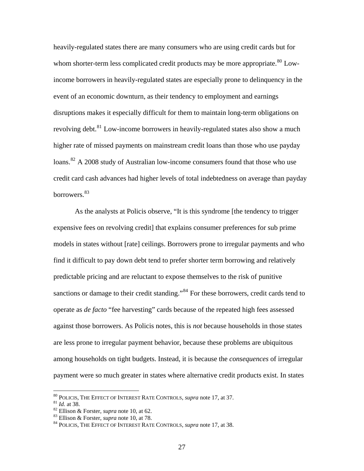heavily-regulated states there are many consumers who are using credit cards but for whom shorter-term less complicated credit products may be more appropriate.<sup>[80](#page-27-0)</sup> Lowincome borrowers in heavily-regulated states are especially prone to delinquency in the event of an economic downturn, as their tendency to employment and earnings disruptions makes it especially difficult for them to maintain long-term obligations on revolving debt.<sup>[81](#page-27-1)</sup> Low-income borrowers in heavily-regulated states also show a much higher rate of missed payments on mainstream credit loans than those who use payday loans.<sup>[82](#page-27-2)</sup> A 2008 study of Australian low-income consumers found that those who use credit card cash advances had higher levels of total indebtedness on average than payday borrowers.[83](#page-27-3)

As the analysts at Policis observe, "It is this syndrome [the tendency to trigger expensive fees on revolving credit] that explains consumer preferences for sub prime models in states without [rate] ceilings. Borrowers prone to irregular payments and who find it difficult to pay down debt tend to prefer shorter term borrowing and relatively predictable pricing and are reluctant to expose themselves to the risk of punitive sanctions or damage to their credit standing."<sup>[84](#page-27-4)</sup> For these borrowers, credit cards tend to operate as *de facto* "fee harvesting" cards because of the repeated high fees assessed against those borrowers. As Policis notes, this is *not* because households in those states are less prone to irregular payment behavior, because these problems are ubiquitous among households on tight budgets. Instead, it is because the *consequences* of irregular payment were so much greater in states where alternative credit products exist. In states

<span id="page-27-0"></span><sup>&</sup>lt;sup>80</sup> POLICIS, THE EFFECT OF INTEREST RATE CONTROLS, *supra* note 17, at 37.<br><sup>81</sup> Id. at 38.<br><sup>82</sup> Ellison & Forster, *supra* note 10, at 62.<br><sup>83</sup> Ellison & Forster, *supra* note 10, at 78.<br><sup>84</sup> POLICIS, THE EFFECT OF INTERE

<span id="page-27-1"></span>

<span id="page-27-2"></span>

<span id="page-27-3"></span>

<span id="page-27-4"></span>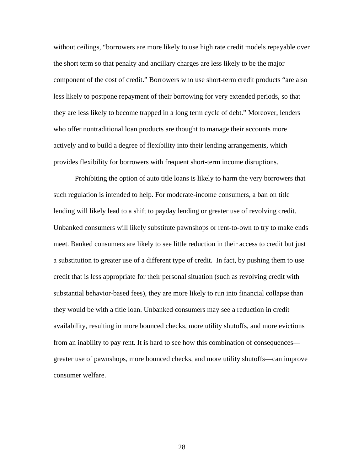without ceilings, "borrowers are more likely to use high rate credit models repayable over the short term so that penalty and ancillary charges are less likely to be the major component of the cost of credit." Borrowers who use short-term credit products "are also less likely to postpone repayment of their borrowing for very extended periods, so that they are less likely to become trapped in a long term cycle of debt." Moreover, lenders who offer nontraditional loan products are thought to manage their accounts more actively and to build a degree of flexibility into their lending arrangements, which provides flexibility for borrowers with frequent short-term income disruptions.

Prohibiting the option of auto title loans is likely to harm the very borrowers that such regulation is intended to help. For moderate-income consumers, a ban on title lending will likely lead to a shift to payday lending or greater use of revolving credit. Unbanked consumers will likely substitute pawnshops or rent-to-own to try to make ends meet. Banked consumers are likely to see little reduction in their access to credit but just a substitution to greater use of a different type of credit. In fact, by pushing them to use credit that is less appropriate for their personal situation (such as revolving credit with substantial behavior-based fees), they are more likely to run into financial collapse than they would be with a title loan. Unbanked consumers may see a reduction in credit availability, resulting in more bounced checks, more utility shutoffs, and more evictions from an inability to pay rent. It is hard to see how this combination of consequences greater use of pawnshops, more bounced checks, and more utility shutoffs—can improve consumer welfare.

28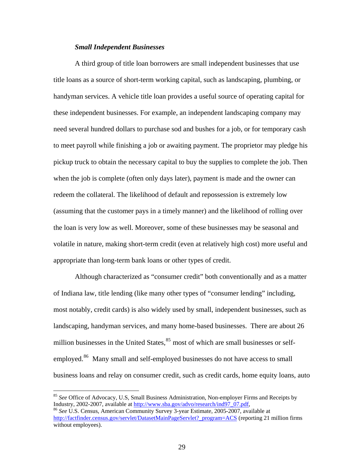## *Small Independent Businesses*

A third group of title loan borrowers are small independent businesses that use title loans as a source of short-term working capital, such as landscaping, plumbing, or handyman services. A vehicle title loan provides a useful source of operating capital for these independent businesses. For example, an independent landscaping company may need several hundred dollars to purchase sod and bushes for a job, or for temporary cash to meet payroll while finishing a job or awaiting payment. The proprietor may pledge his pickup truck to obtain the necessary capital to buy the supplies to complete the job. Then when the job is complete (often only days later), payment is made and the owner can redeem the collateral. The likelihood of default and repossession is extremely low (assuming that the customer pays in a timely manner) and the likelihood of rolling over the loan is very low as well. Moreover, some of these businesses may be seasonal and volatile in nature, making short-term credit (even at relatively high cost) more useful and appropriate than long-term bank loans or other types of credit.

Although characterized as "consumer credit" both conventionally and as a matter of Indiana law, title lending (like many other types of "consumer lending" including, most notably, credit cards) is also widely used by small, independent businesses, such as landscaping, handyman services, and many home-based businesses. There are about 26 million businesses in the United States, $85$  most of which are small businesses or self-employed.<sup>[86](#page-29-1)</sup> Many small and self-employed businesses do not have access to small business loans and relay on consumer credit, such as credit cards, home equity loans, auto

<span id="page-29-0"></span><sup>85</sup> *See* Office of Advocacy, U.S, Small Business Administration, Non-employer Firms and Receipts by Industry, 2002-2007, available at [http://www.sba.gov/advo/research/ind97\\_07.pdf](http://www.sba.gov/advo/research/ind97_07.pdf), 86 *See* U.S. Census, American Community Survey 3-year Estimate, 2005-2007, available at

<span id="page-29-1"></span>[http://factfinder.census.gov/servlet/DatasetMainPageServlet?\\_program=ACS](http://factfinder.census.gov/servlet/DatasetMainPageServlet?_program=ACS) (reporting 21 million firms without employees).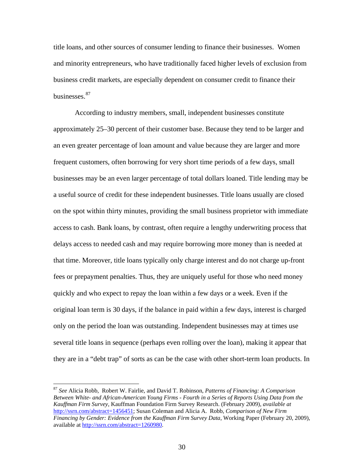title loans, and other sources of consumer lending to finance their businesses. Women and minority entrepreneurs, who have traditionally faced higher levels of exclusion from business credit markets, are especially dependent on consumer credit to finance their businesses.<sup>[87](#page-30-0)</sup>

According to industry members, small, independent businesses constitute approximately 25–30 percent of their customer base. Because they tend to be larger and an even greater percentage of loan amount and value because they are larger and more frequent customers, often borrowing for very short time periods of a few days, small businesses may be an even larger percentage of total dollars loaned. Title lending may be a useful source of credit for these independent businesses. Title loans usually are closed on the spot within thirty minutes, providing the small business proprietor with immediate access to cash. Bank loans, by contrast, often require a lengthy underwriting process that delays access to needed cash and may require borrowing more money than is needed at that time. Moreover, title loans typically only charge interest and do not charge up-front fees or prepayment penalties. Thus, they are uniquely useful for those who need money quickly and who expect to repay the loan within a few days or a week. Even if the original loan term is 30 days, if the balance in paid within a few days, interest is charged only on the period the loan was outstanding. Independent businesses may at times use several title loans in sequence (perhaps even rolling over the loan), making it appear that they are in a "debt trap" of sorts as can be the case with other short-term loan products. In

<span id="page-30-0"></span><sup>87</sup> *See* Alicia Robb, Robert W. Fairlie, and David T. Robinson, *Patterns of Financing: A Comparison Between White- and African-American Young Firms - Fourth in a Series of Reports Using Data from the Kauffman Firm Survey*, Kauffman Foundation Firm Survey Research. (February 2009), *available at* <http://ssrn.com/abstract=1456451>; Susan Coleman and Alicia A. Robb*, Comparison of New Firm Financing by Gender: Evidence from the Kauffman Firm Survey Data*, Working Paper (February 20, 2009), available at [http://ssrn.com/abstract=1260980.](http://ssrn.com/abstract=1260980)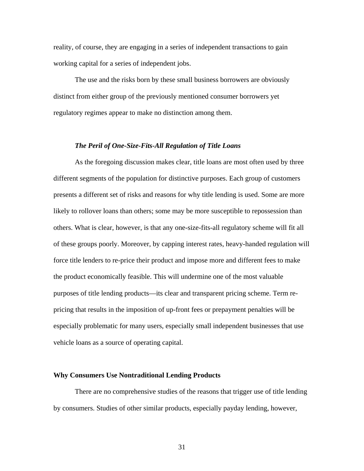reality, of course, they are engaging in a series of independent transactions to gain working capital for a series of independent jobs.

The use and the risks born by these small business borrowers are obviously distinct from either group of the previously mentioned consumer borrowers yet regulatory regimes appear to make no distinction among them.

## *The Peril of One-Size-Fits-All Regulation of Title Loans*

As the foregoing discussion makes clear, title loans are most often used by three different segments of the population for distinctive purposes. Each group of customers presents a different set of risks and reasons for why title lending is used. Some are more likely to rollover loans than others; some may be more susceptible to repossession than others. What is clear, however, is that any one-size-fits-all regulatory scheme will fit all of these groups poorly. Moreover, by capping interest rates, heavy-handed regulation will force title lenders to re-price their product and impose more and different fees to make the product economically feasible. This will undermine one of the most valuable purposes of title lending products—its clear and transparent pricing scheme. Term repricing that results in the imposition of up-front fees or prepayment penalties will be especially problematic for many users, especially small independent businesses that use vehicle loans as a source of operating capital.

#### **Why Consumers Use Nontraditional Lending Products**

There are no comprehensive studies of the reasons that trigger use of title lending by consumers. Studies of other similar products, especially payday lending, however,

31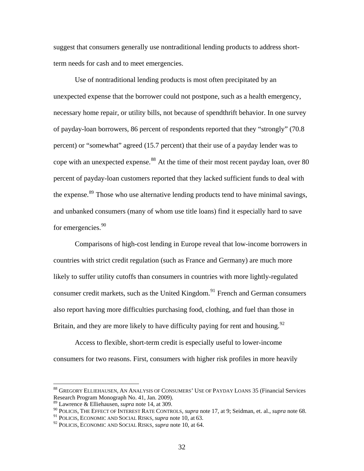suggest that consumers generally use nontraditional lending products to address shortterm needs for cash and to meet emergencies.

Use of nontraditional lending products is most often precipitated by an unexpected expense that the borrower could not postpone, such as a health emergency, necessary home repair, or utility bills, not because of spendthrift behavior. In one survey of payday-loan borrowers, 86 percent of respondents reported that they "strongly" (70.8 percent) or "somewhat" agreed (15.7 percent) that their use of a payday lender was to cope with an unexpected expense.<sup>[88](#page-32-0)</sup> At the time of their most recent payday loan, over 80 percent of payday-loan customers reported that they lacked sufficient funds to deal with the expense.<sup>[89](#page-32-1)</sup> Those who use alternative lending products tend to have minimal savings, and unbanked consumers (many of whom use title loans) find it especially hard to save for emergencies.<sup>[90](#page-32-2)</sup>

Comparisons of high-cost lending in Europe reveal that low-income borrowers in countries with strict credit regulation (such as France and Germany) are much more likely to suffer utility cutoffs than consumers in countries with more lightly-regulated consumer credit markets, such as the United Kingdom.<sup>[91](#page-32-3)</sup> French and German consumers also report having more difficulties purchasing food, clothing, and fuel than those in Britain, and they are more likely to have difficulty paying for rent and housing.  $92$ 

Access to flexible, short-term credit is especially useful to lower-income consumers for two reasons. First, consumers with higher risk profiles in more heavily

<span id="page-32-0"></span><sup>88</sup> GREGORY ELLIEHAUSEN, AN ANALYSIS OF CONSUMERS' USE OF PAYDAY LOANS 35 (Financial Services Research Program Monograph No. 41, Jan. 2009).

<span id="page-32-1"></span><sup>89</sup> Lawrence & Elliehausen, *supra* note 14, at 309.

<span id="page-32-2"></span><sup>90</sup> POLICIS, THE EFFECT OF INTEREST RATE CONTROLS, *supra* note 17, at 9; Seidman, et. al., *supra* note 68.

<span id="page-32-3"></span><sup>91</sup> POLICIS, ECONOMIC AND SOCIAL RISKS, *supra* note 10, at 63.

<span id="page-32-4"></span><sup>92</sup> POLICIS, ECONOMIC AND SOCIAL RISKS, *supra* note 10, at 64.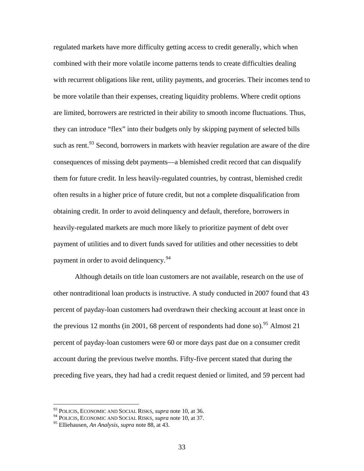regulated markets have more difficulty getting access to credit generally, which when combined with their more volatile income patterns tends to create difficulties dealing with recurrent obligations like rent, utility payments, and groceries. Their incomes tend to be more volatile than their expenses, creating liquidity problems. Where credit options are limited, borrowers are restricted in their ability to smooth income fluctuations. Thus, they can introduce "flex" into their budgets only by skipping payment of selected bills such as rent.<sup>[93](#page-33-0)</sup> Second, borrowers in markets with heavier regulation are aware of the dire consequences of missing debt payments—a blemished credit record that can disqualify them for future credit. In less heavily-regulated countries, by contrast, blemished credit often results in a higher price of future credit, but not a complete disqualification from obtaining credit. In order to avoid delinquency and default, therefore, borrowers in heavily-regulated markets are much more likely to prioritize payment of debt over payment of utilities and to divert funds saved for utilities and other necessities to debt payment in order to avoid delinquency.<sup>[94](#page-33-1)</sup>

Although details on title loan customers are not available, research on the use of other nontraditional loan products is instructive. A study conducted in 2007 found that 43 percent of payday-loan customers had overdrawn their checking account at least once in the previous 12 months (in 2001, 68 percent of respondents had done so). <sup>[95](#page-33-2)</sup> Almost 21 percent of payday-loan customers were 60 or more days past due on a consumer credit account during the previous twelve months. Fifty-five percent stated that during the preceding five years, they had had a credit request denied or limited, and 59 percent had

<sup>93</sup> POLICIS, ECONOMIC AND SOCIAL RISKS, *supra* note 10, at 36.

<span id="page-33-1"></span><span id="page-33-0"></span><sup>94</sup> POLICIS, ECONOMIC AND SOCIAL RISKS, *supra* note 10, at 37.

<span id="page-33-2"></span><sup>95</sup> Elliehausen, *An Analysis*, *supra* note 88, at 43.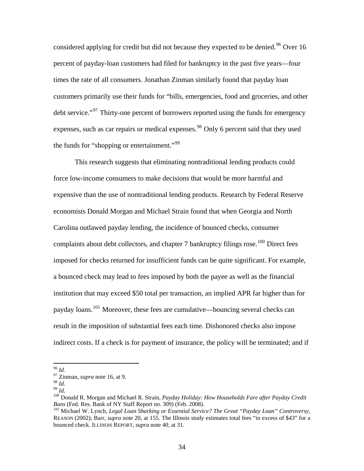considered applying for credit but did not because they expected to be denied.<sup>[96](#page-34-0)</sup> Over 16 percent of payday-loan customers had filed for bankruptcy in the past five years—four times the rate of all consumers. Jonathan Zinman similarly found that payday loan customers primarily use their funds for "bills, emergencies, food and groceries, and other debt service."<sup>[97](#page-34-1)</sup> Thirty-one percent of borrowers reported using the funds for emergency expenses, such as car repairs or medical expenses.<sup>[98](#page-34-2)</sup> Only 6 percent said that they used the funds for "shopping or entertainment."<sup>[99](#page-34-3)</sup>

This research suggests that eliminating nontraditional lending products could force low-income consumers to make decisions that would be more harmful and expensive than the use of nontraditional lending products. Research by Federal Reserve economists Donald Morgan and Michael Strain found that when Georgia and North Carolina outlawed payday lending, the incidence of bounced checks, consumer complaints about debt collectors, and chapter 7 bankruptcy filings rose.<sup>[100](#page-34-4)</sup> Direct fees imposed for checks returned for insufficient funds can be quite significant. For example, a bounced check may lead to fees imposed by both the payee as well as the financial institution that may exceed \$50 total per transaction, an implied APR far higher than for payday loans.<sup>[101](#page-34-5)</sup> Moreover, these fees are cumulative—bouncing several checks can result in the imposition of substantial fees each time. Dishonored checks also impose indirect costs. If a check is for payment of insurance, the policy will be terminated; and if

<span id="page-34-0"></span> $96$  Id.

<span id="page-34-1"></span> $^{97}$  Zinman, *supra* note 16, at 9.<br><sup>98</sup> Id.

<span id="page-34-4"></span><span id="page-34-3"></span><span id="page-34-2"></span><sup>&</sup>lt;sup>99</sup> *Id.* 100 Donald R. Morgan and Michael R. Strain, *Payday Holiday: How Households Fare after Payday Credit Bans* (Fed. Res. Bank of NY Staff Report no. 309) (Feb. 2008).

<span id="page-34-5"></span><sup>&</sup>lt;sup>101</sup> Michael W. Lynch, Legal Loan Sharking or Essential Service? The Great "Payday Loan" Controversy, REASON (2002); Barr, *supra* note 20, at 155. The Illinois study estimates total fees "in excess of \$43" for a bounced check. ILLINOIS REPORT, *supra* note 40, at 31.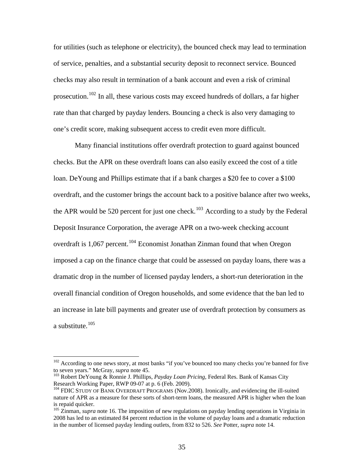for utilities (such as telephone or electricity), the bounced check may lead to termination of service, penalties, and a substantial security deposit to reconnect service. Bounced checks may also result in termination of a bank account and even a risk of criminal prosecution.<sup>[102](#page-35-0)</sup> In all, these various costs may exceed hundreds of dollars, a far higher rate than that charged by payday lenders. Bouncing a check is also very damaging to one's credit score, making subsequent access to credit even more difficult.

Many financial institutions offer overdraft protection to guard against bounced checks. But the APR on these overdraft loans can also easily exceed the cost of a title loan. DeYoung and Phillips estimate that if a bank charges a \$20 fee to cover a \$100 overdraft, and the customer brings the account back to a positive balance after two weeks, the APR would be 520 percent for just one check.<sup>[103](#page-35-1)</sup> According to a study by the Federal Deposit Insurance Corporation, the average APR on a two-week checking account overdraft is 1,067 percent.<sup>[104](#page-35-2)</sup> Economist Jonathan Zinman found that when Oregon imposed a cap on the finance charge that could be assessed on payday loans, there was a dramatic drop in the number of licensed payday lenders, a short-run deterioration in the overall financial condition of Oregon households, and some evidence that the ban led to an increase in late bill payments and greater use of overdraft protection by consumers as a substitute.<sup>[105](#page-35-3)</sup>

<span id="page-35-0"></span> $102$  According to one news story, at most banks "if you've bounced too many checks you're banned for five to seven years." McGray, *supra* note 45.

<span id="page-35-1"></span><sup>&</sup>lt;sup>103</sup> Robert DeYoung & Ronnie J. Phillips, *Payday Loan Pricing*, Federal Res. Bank of Kansas City Research Working Paper, RWP 09-07 at p. 6 (Feb. 2009).

<span id="page-35-2"></span><sup>104</sup> FDIC STUDY OF BANK OVERDRAFT PROGRAMS (Nov.2008). Ironically, and evidencing the ill-suited nature of APR as a measure for these sorts of short-term loans, the measured APR is higher when the loan is repaid quicker.

<span id="page-35-3"></span><sup>&</sup>lt;sup>105</sup> Zinman, *supra* note 16. The imposition of new regulations on payday lending operations in Virginia in 2008 has led to an estimated 84 percent reduction in the volume of payday loans and a dramatic reduction in the number of licensed payday lending outlets, from 832 to 526. *See* Potter, *supra* note 14.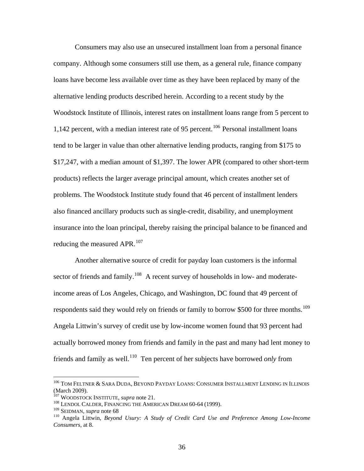Consumers may also use an unsecured installment loan from a personal finance company. Although some consumers still use them, as a general rule, finance company loans have become less available over time as they have been replaced by many of the alternative lending products described herein. According to a recent study by the Woodstock Institute of Illinois, interest rates on installment loans range from 5 percent to 1,142 percent, with a median interest rate of 95 percent.<sup>[106](#page-36-0)</sup> Personal installment loans tend to be larger in value than other alternative lending products, ranging from \$175 to \$17,247, with a median amount of \$1,397. The lower APR (compared to other short-term products) reflects the larger average principal amount, which creates another set of problems. The Woodstock Institute study found that 46 percent of installment lenders also financed ancillary products such as single-credit, disability, and unemployment insurance into the loan principal, thereby raising the principal balance to be financed and reducing the measured APR.<sup>[107](#page-36-1)</sup>

Another alternative source of credit for payday loan customers is the informal sector of friends and family.<sup>[108](#page-36-2)</sup> A recent survey of households in low- and moderateincome areas of Los Angeles, Chicago, and Washington, DC found that 49 percent of respondents said they would rely on friends or family to borrow \$500 for three months.<sup>[109](#page-36-3)</sup> Angela Littwin's survey of credit use by low-income women found that 93 percent had actually borrowed money from friends and family in the past and many had lent money to friends and family as well.[110](#page-36-4) Ten percent of her subjects have borrowed *only* from

<span id="page-36-0"></span><sup>106</sup> TOM FELTNER & SARA DUDA, BEYOND PAYDAY LOANS: CONSUMER INSTALLMENT LENDING IN ILLINOIS (March 2009).<br><sup>107</sup> WOODSTOCK INSTITUTE, *supra* note 21.

<span id="page-36-3"></span><span id="page-36-2"></span><span id="page-36-1"></span><sup>&</sup>lt;sup>108</sup> LENDOL CALDER, FINANCING THE AMERICAN DREAM 60-64 (1999).<br><sup>109</sup> SEIDMAN, *supra* note 68

<span id="page-36-4"></span><sup>&</sup>lt;sup>110</sup> Angela Littwin, *Beyond Usury: A Study of Credit Card Use and Preference Among Low-Income Consumers*, at 8.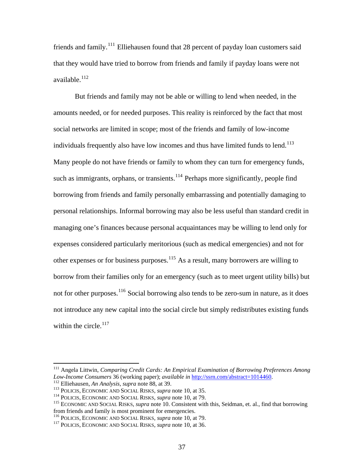friends and family.<sup>[111](#page-37-0)</sup> Elliehausen found that 28 percent of payday loan customers said that they would have tried to borrow from friends and family if payday loans were not available. $112$ 

But friends and family may not be able or willing to lend when needed, in the amounts needed, or for needed purposes. This reality is reinforced by the fact that most social networks are limited in scope; most of the friends and family of low-income individuals frequently also have low incomes and thus have limited funds to lend.<sup>[113](#page-37-2)</sup> Many people do not have friends or family to whom they can turn for emergency funds, such as immigrants, orphans, or transients.<sup>[114](#page-37-3)</sup> Perhaps more significantly, people find borrowing from friends and family personally embarrassing and potentially damaging to personal relationships. Informal borrowing may also be less useful than standard credit in managing one's finances because personal acquaintances may be willing to lend only for expenses considered particularly meritorious (such as medical emergencies) and not for other expenses or for business purposes.[115](#page-37-4) As a result, many borrowers are willing to borrow from their families only for an emergency (such as to meet urgent utility bills) but not for other purposes.<sup>[116](#page-37-5)</sup> Social borrowing also tends to be zero-sum in nature, as it does not introduce any new capital into the social circle but simply redistributes existing funds within the circle. $117$ 

<span id="page-37-0"></span><sup>&</sup>lt;sup>111</sup> Angela Littwin, *Comparing Credit Cards: An Empirical Examination of Borrowing Preferences Among Low-Income Consumers 36 (working paper); <i>available in* http://ssrn.com/abstract=1014460.

<span id="page-37-4"></span><span id="page-37-3"></span>

<span id="page-37-2"></span><span id="page-37-1"></span><sup>&</sup>lt;sup>112</sup> Elliehausen, *An Analysis*, *supra* note 88, at 39.<br>
<sup>113</sup> POLICIS, ECONOMIC AND SOCIAL RISKS, *supra* note 10, at 35.<br>
<sup>114</sup> POLICIS, ECONOMIC AND SOCIAL RISKS, *supra* note 10, at 79.<br>
<sup>115</sup> ECONOMIC AND SOCIAL RI from friends and family is most prominent for emergencies.

<span id="page-37-5"></span><sup>&</sup>lt;sup>116</sup> POLICIS, ECONOMIC AND SOCIAL RISKS, *supra* note 10, at 79.<br><sup>117</sup> POLICIS, ECONOMIC AND SOCIAL RISKS, *supra* note 10, at 36.

<span id="page-37-6"></span>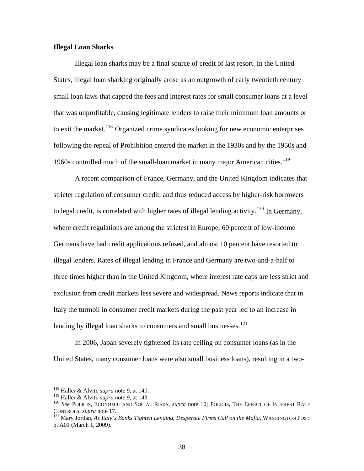## **Illegal Loan Sharks**

Illegal loan sharks may be a final source of credit of last resort. In the United States, illegal loan sharking originally arose as an outgrowth of early twentieth century small loan laws that capped the fees and interest rates for small consumer loans at a level that was unprofitable, causing legitimate lenders to raise their minimum loan amounts or to exit the market.<sup>[118](#page-38-0)</sup> Organized crime syndicates looking for new economic enterprises following the repeal of Prohibition entered the market in the 1930s and by the 1950s and 1960s controlled much of the small-loan market in many major American cities.<sup>[119](#page-38-1)</sup>

A recent comparison of France, Germany, and the United Kingdom indicates that stricter regulation of consumer credit, and thus reduced access by higher-risk borrowers to legal credit, is correlated with higher rates of illegal lending activity.<sup>[120](#page-38-2)</sup> In Germany, where credit regulations are among the strictest in Europe, 60 percent of low-income Germans have had credit applications refused, and almost 10 percent have resorted to illegal lenders. Rates of illegal lending in France and Germany are two-and-a-half to three times higher than in the United Kingdom, where interest rate caps are less strict and exclusion from credit markets less severe and widespread. News reports indicate that in Italy the turmoil in consumer credit markets during the past year led to an increase in lending by illegal loan sharks to consumers and small businesses.<sup>[121](#page-38-3)</sup>

In 2006, Japan severely tightened its rate ceiling on consumer loans (as in the United States, many consumer loans were also small business loans), resulting in a two-

<sup>118</sup> Haller & Alviti, *supra* note 9, at 140.

<span id="page-38-2"></span><span id="page-38-1"></span><span id="page-38-0"></span><sup>&</sup>lt;sup>119</sup> Haller & Alviti, *supra* note 9, at 143.<br><sup>120</sup> *See* POLICIS, ECONOMIC AND SOCIAL RISKS, *supra* note 10; POLICIS, THE EFFECT OF INTEREST RATE CONTROLS, *supra* note 17. 121 Mary Jordan, *As Italy's Banks Tighten Lending, Desperate Firms Call on the Mafia*, WASHINGTON POST

<span id="page-38-3"></span>p. A01 (March 1, 2009).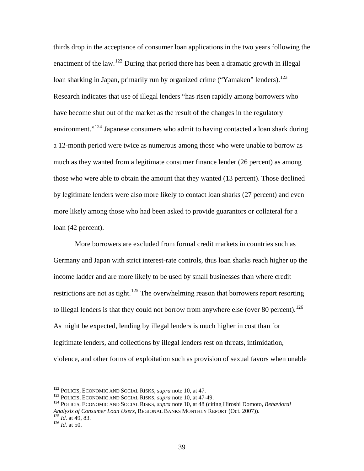thirds drop in the acceptance of consumer loan applications in the two years following the enactment of the law.<sup>[122](#page-39-0)</sup> During that period there has been a dramatic growth in illegal loan sharking in Japan, primarily run by organized crime ("Yamaken" lenders).<sup>[123](#page-39-1)</sup> Research indicates that use of illegal lenders "has risen rapidly among borrowers who have become shut out of the market as the result of the changes in the regulatory environment."<sup>[124](#page-39-2)</sup> Japanese consumers who admit to having contacted a loan shark during a 12-month period were twice as numerous among those who were unable to borrow as much as they wanted from a legitimate consumer finance lender (26 percent) as among those who were able to obtain the amount that they wanted (13 percent). Those declined by legitimate lenders were also more likely to contact loan sharks (27 percent) and even more likely among those who had been asked to provide guarantors or collateral for a loan (42 percent).

More borrowers are excluded from formal credit markets in countries such as Germany and Japan with strict interest-rate controls, thus loan sharks reach higher up the income ladder and are more likely to be used by small businesses than where credit restrictions are not as tight.<sup>[125](#page-39-3)</sup> The overwhelming reason that borrowers report resorting to illegal lenders is that they could not borrow from anywhere else (over 80 percent).<sup>[126](#page-39-4)</sup> As might be expected, lending by illegal lenders is much higher in cost than for legitimate lenders, and collections by illegal lenders rest on threats, intimidation, violence, and other forms of exploitation such as provision of sexual favors when unable

<sup>&</sup>lt;sup>122</sup> POLICIS, ECONOMIC AND SOCIAL RISKS, *supra* note 10, at 47.

<span id="page-39-2"></span><span id="page-39-1"></span><span id="page-39-0"></span><sup>&</sup>lt;sup>123</sup> POLICIS, ECONOMIC AND SOCIAL RISKS, *supra* note 10, at 47-49.<br><sup>124</sup> POLICIS, ECONOMIC AND SOCIAL RISKS, *supra* note 10, at 48 (citing Hiroshi Domoto, *Behavioral Analysis of Consumer Loan Users*, REGIONAL BANKS MONTHLY REPORT (Oct. 2007)). 125 *Id.* at 49, 83. 126 *Id.* at 50.

<span id="page-39-4"></span><span id="page-39-3"></span>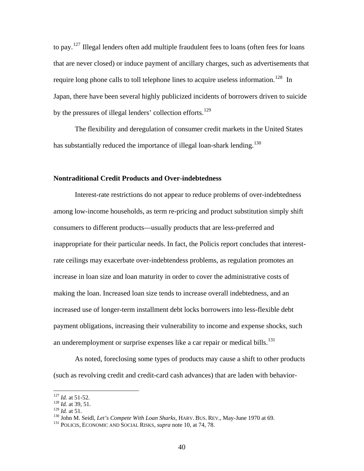to pay.<sup>[127](#page-40-0)</sup> Illegal lenders often add multiple fraudulent fees to loans (often fees for loans that are never closed) or induce payment of ancillary charges, such as advertisements that require long phone calls to toll telephone lines to acquire useless information.<sup>[128](#page-40-1)</sup> In Japan, there have been several highly publicized incidents of borrowers driven to suicide by the pressures of illegal lenders' collection efforts.<sup>[129](#page-40-2)</sup>

The flexibility and deregulation of consumer credit markets in the United States has substantially reduced the importance of illegal loan-shark lending.<sup>[130](#page-40-3)</sup>

#### **Nontraditional Credit Products and Over-indebtedness**

Interest-rate restrictions do not appear to reduce problems of over-indebtedness among low-income households, as term re-pricing and product substitution simply shift consumers to different products—usually products that are less-preferred and inappropriate for their particular needs. In fact, the Policis report concludes that interestrate ceilings may exacerbate over-indebtendess problems, as regulation promotes an increase in loan size and loan maturity in order to cover the administrative costs of making the loan. Increased loan size tends to increase overall indebtedness, and an increased use of longer-term installment debt locks borrowers into less-flexible debt payment obligations, increasing their vulnerability to income and expense shocks, such an underemployment or surprise expenses like a car repair or medical bills.<sup>[131](#page-40-4)</sup>

As noted, foreclosing some types of products may cause a shift to other products (such as revolving credit and credit-card cash advances) that are laden with behavior-

 $127$  *Id.* at 51-52.

<span id="page-40-1"></span><span id="page-40-0"></span><sup>128</sup> *Id.* at 39, 51.<br><sup>129</sup> *Id.* at 51.

<span id="page-40-4"></span><span id="page-40-3"></span><span id="page-40-2"></span><sup>&</sup>lt;sup>130</sup> John M. Seidl, *Let's Compete With Loan Sharks*, HARV. BUS. REV., May-June 1970 at 69. <sup>131</sup> POLICIS, ECONOMIC AND SOCIAL RISKS, *supra* note 10, at 74, 78.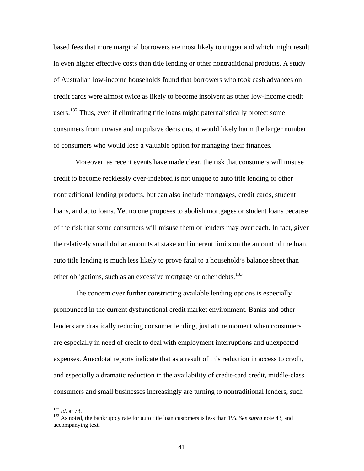based fees that more marginal borrowers are most likely to trigger and which might result in even higher effective costs than title lending or other nontraditional products. A study of Australian low-income households found that borrowers who took cash advances on credit cards were almost twice as likely to become insolvent as other low-income credit users.<sup>[132](#page-41-0)</sup> Thus, even if eliminating title loans might paternalistically protect some consumers from unwise and impulsive decisions, it would likely harm the larger number of consumers who would lose a valuable option for managing their finances.

Moreover, as recent events have made clear, the risk that consumers will misuse credit to become recklessly over-indebted is not unique to auto title lending or other nontraditional lending products, but can also include mortgages, credit cards, student loans, and auto loans. Yet no one proposes to abolish mortgages or student loans because of the risk that some consumers will misuse them or lenders may overreach. In fact, given the relatively small dollar amounts at stake and inherent limits on the amount of the loan, auto title lending is much less likely to prove fatal to a household's balance sheet than other obligations, such as an excessive mortgage or other debts.<sup>[133](#page-41-1)</sup>

The concern over further constricting available lending options is especially pronounced in the current dysfunctional credit market environment. Banks and other lenders are drastically reducing consumer lending, just at the moment when consumers are especially in need of credit to deal with employment interruptions and unexpected expenses. Anecdotal reports indicate that as a result of this reduction in access to credit, and especially a dramatic reduction in the availability of credit-card credit, middle-class consumers and small businesses increasingly are turning to nontraditional lenders, such

<span id="page-41-0"></span> $132$  *Id.* at 78.

<span id="page-41-1"></span><sup>&</sup>lt;sup>133</sup> As noted, the bankruptcy rate for auto title loan customers is less than 1%. *See supra* note 43, and accompanying text.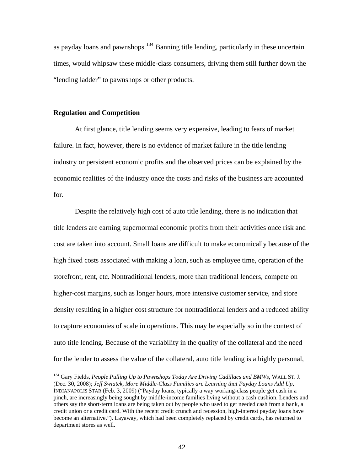as payday loans and pawnshops.<sup>[134](#page-42-0)</sup> Banning title lending, particularly in these uncertain times, would whipsaw these middle-class consumers, driving them still further down the "lending ladder" to pawnshops or other products.

## **Regulation and Competition**

 $\overline{a}$ 

At first glance, title lending seems very expensive, leading to fears of market failure. In fact, however, there is no evidence of market failure in the title lending industry or persistent economic profits and the observed prices can be explained by the economic realities of the industry once the costs and risks of the business are accounted for.

Despite the relatively high cost of auto title lending, there is no indication that title lenders are earning supernormal economic profits from their activities once risk and cost are taken into account. Small loans are difficult to make economically because of the high fixed costs associated with making a loan, such as employee time, operation of the storefront, rent, etc. Nontraditional lenders, more than traditional lenders, compete on higher-cost margins, such as longer hours, more intensive customer service, and store density resulting in a higher cost structure for nontraditional lenders and a reduced ability to capture economies of scale in operations. This may be especially so in the context of auto title lending. Because of the variability in the quality of the collateral and the need for the lender to assess the value of the collateral, auto title lending is a highly personal,

<span id="page-42-0"></span><sup>&</sup>lt;sup>134</sup> Gary Fields, *People Pulling Up to Pawnshops Today Are Driving Cadillacs and BMWs*, WALL ST. J. (Dec. 30, 2008); *Jeff Swiatek, More Middle-Class Families are Learning that Payday Loans Add Up*, INDIANAPOLIS STAR (Feb. 3, 2009) ("Payday loans, typically a way working-class people get cash in a pinch, are increasingly being sought by middle-income families living without a cash cushion. Lenders and others say the short-term loans are being taken out by people who used to get needed cash from a bank, a credit union or a credit card. With the recent credit crunch and recession, high-interest payday loans have become an alternative."). Layaway, which had been completely replaced by credit cards, has returned to department stores as well.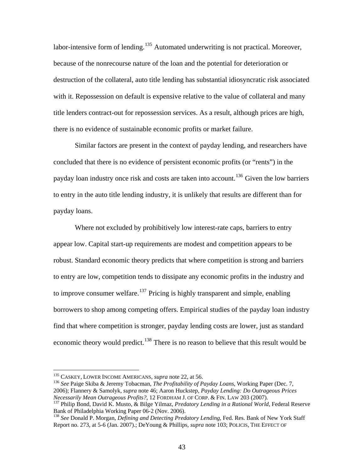labor-intensive form of lending.<sup>[135](#page-43-0)</sup> Automated underwriting is not practical. Moreover, because of the nonrecourse nature of the loan and the potential for deterioration or destruction of the collateral, auto title lending has substantial idiosyncratic risk associated with it. Repossession on default is expensive relative to the value of collateral and many title lenders contract-out for repossession services. As a result, although prices are high, there is no evidence of sustainable economic profits or market failure.

Similar factors are present in the context of payday lending, and researchers have concluded that there is no evidence of persistent economic profits (or "rents") in the payday loan industry once risk and costs are taken into account.<sup>[136](#page-43-1)</sup> Given the low barriers to entry in the auto title lending industry, it is unlikely that results are different than for payday loans.

Where not excluded by prohibitively low interest-rate caps, barriers to entry appear low. Capital start-up requirements are modest and competition appears to be robust. Standard economic theory predicts that where competition is strong and barriers to entry are low, competition tends to dissipate any economic profits in the industry and to improve consumer welfare.<sup>[137](#page-43-2)</sup> Pricing is highly transparent and simple, enabling borrowers to shop among competing offers. Empirical studies of the payday loan industry find that where competition is stronger, payday lending costs are lower, just as standard economic theory would predict.<sup>[138](#page-43-3)</sup> There is no reason to believe that this result would be

<span id="page-43-0"></span><sup>&</sup>lt;sup>135</sup> CASKEY, LOWER INCOME AMERICANS, *supra* note 22, at 56.

<span id="page-43-1"></span><sup>&</sup>lt;sup>136</sup> See Paige Skiba & Jeremy Tobacman, *The Profitability of Payday Loans*, Working Paper (Dec. 7, 2006); Flannery & Samolyk, *supra* note 46; Aaron Huckstep, *Payday Lending: Do Outrageous Prices Necessarily Mean Outrageous Profits?*, 12 FORDHAM J. OF CORP. & FIN. LAW 203 (2007).<br><sup>137</sup> Philip Bond, David K. Musto, & Bilge Yilmaz, *Predatory Lending in a Rational World*, Federal Reserve

<span id="page-43-2"></span>Bank of Philadelphia Working Paper 06-2 (Nov. 2006).

<span id="page-43-3"></span><sup>138</sup> *See* Donald P. Morgan, *Defining and Detecting Predatory Lending*, Fed. Res. Bank of New York Staff Report no. 273, at 5-6 (Jan. 2007).; DeYoung & Phillips, *supra* note 103; POLICIS, THE EFFECT OF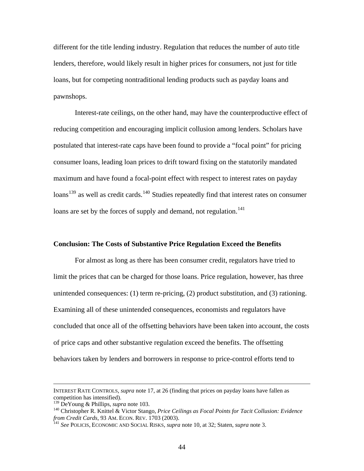different for the title lending industry. Regulation that reduces the number of auto title lenders, therefore, would likely result in higher prices for consumers, not just for title loans, but for competing nontraditional lending products such as payday loans and pawnshops.

Interest-rate ceilings, on the other hand, may have the counterproductive effect of reducing competition and encouraging implicit collusion among lenders. Scholars have postulated that interest-rate caps have been found to provide a "focal point" for pricing consumer loans, leading loan prices to drift toward fixing on the statutorily mandated maximum and have found a focal-point effect with respect to interest rates on payday  $\lambda$ loans<sup>[139](#page-44-0)</sup> as well as credit cards.<sup>[140](#page-44-1)</sup> Studies repeatedly find that interest rates on consumer loans are set by the forces of supply and demand, not regulation.<sup>[141](#page-44-2)</sup>

## **Conclusion: The Costs of Substantive Price Regulation Exceed the Benefits**

For almost as long as there has been consumer credit, regulators have tried to limit the prices that can be charged for those loans. Price regulation, however, has three unintended consequences: (1) term re-pricing, (2) product substitution, and (3) rationing. Examining all of these unintended consequences, economists and regulators have concluded that once all of the offsetting behaviors have been taken into account, the costs of price caps and other substantive regulation exceed the benefits. The offsetting behaviors taken by lenders and borrowers in response to price-control efforts tend to

INTEREST RATE CONTROLS, *supra* note 17, at 26 (finding that prices on payday loans have fallen as competition has intensified).<br> $^{139}$  DeYoung & Phillips, *supra* note 103.

<span id="page-44-1"></span><span id="page-44-0"></span><sup>&</sup>lt;sup>140</sup> Christopher R. Knittel & Victor Stango, *Price Ceilings as Focal Points for Tacit Collusion: Evidence from Credit Cards*, 93 AM. ECON. REV. 1703 (2003).<br><sup>141</sup> *See* POLICIS, ECONOMIC AND SOCIAL RISKS, *supra* note 10, at 32; Staten, *supra* note 3.

<span id="page-44-2"></span>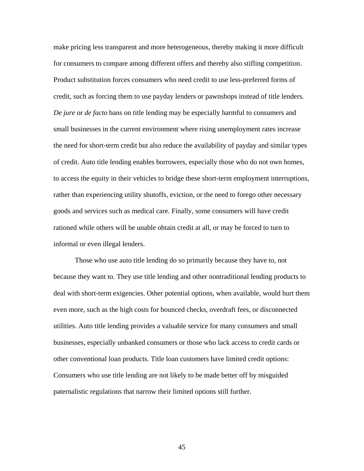make pricing less transparent and more heterogeneous, thereby making it more difficult for consumers to compare among different offers and thereby also stifling competition. Product substitution forces consumers who need credit to use less-preferred forms of credit, such as forcing them to use payday lenders or pawnshops instead of title lenders. *De jure* or *de facto* bans on title lending may be especially harmful to consumers and small businesses in the current environment where rising unemployment rates increase the need for short-term credit but also reduce the availability of payday and similar types of credit. Auto title lending enables borrowers, especially those who do not own homes, to access the equity in their vehicles to bridge these short-term employment interruptions, rather than experiencing utility shutoffs, eviction, or the need to forego other necessary goods and services such as medical care. Finally, some consumers will have credit rationed while others will be unable obtain credit at all, or may be forced to turn to informal or even illegal lenders.

Those who use auto title lending do so primarily because they have to, not because they want to. They use title lending and other nontraditional lending products to deal with short-term exigencies. Other potential options, when available, would hurt them even more, such as the high costs for bounced checks, overdraft fees, or disconnected utilities. Auto title lending provides a valuable service for many consumers and small businesses, especially unbanked consumers or those who lack access to credit cards or other conventional loan products. Title loan customers have limited credit options: Consumers who use title lending are not likely to be made better off by misguided paternalistic regulations that narrow their limited options still further.

45